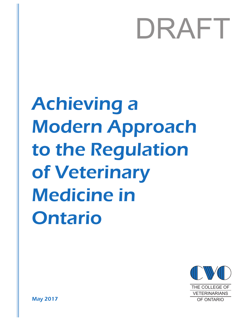# DRAFT

Achieving a Modern Approach to the Regulation of Veterinary Medicine in Ontario



May 2017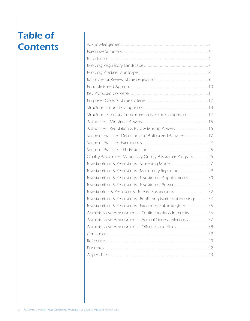# Table of **Contents**

| Structure - Statutory Committees and Panel Composition 14         |  |
|-------------------------------------------------------------------|--|
|                                                                   |  |
|                                                                   |  |
| Scope of Practice - Definition and Authorized Activities 17       |  |
|                                                                   |  |
|                                                                   |  |
| Quality Assurance - Mandatory Quality Assurance Program 26        |  |
|                                                                   |  |
|                                                                   |  |
| Investigations & Resolutions - Investigator Appointments  30      |  |
|                                                                   |  |
|                                                                   |  |
| Investigations & Resolutions - Publicizing Notices of Hearings 34 |  |
| Investigations & Resolutions - Expanded Public Register 35        |  |
| Administrative Amendments - Confidentiality & Immunity 36         |  |
| Administrative Amendments - Annual General Meetings 37            |  |
|                                                                   |  |
|                                                                   |  |
|                                                                   |  |
|                                                                   |  |
|                                                                   |  |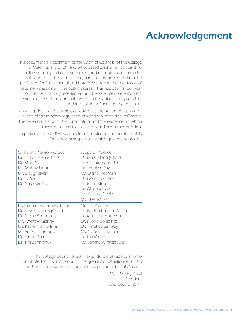# Acknowledgement

This document is a testament to the vision of Councils' of the College of Veterinarians of Ontario who, based on their understanding of the current practice environment and of public expectation for safe and accessible animal care, had the courage to position the profession for fundamental and historic change to the regulation of veterinary medicine in the public interest. This has been a four year journey with an unprecedented number of voices - veterinarians, veterinary technicians, animal owners, other animal care providers, and the public - influencing the outcome.

It is with pride that the profession advances this document as its next vision of the modern regulation of veterinary medicine in Ontario. The research, the data, the consultation, and the evidence on which these recommendations are based are unprecedented.

In particular, the College wishes to acknowledge the members of its four key working groups which guided the project.

| Oversight Advisory Group<br>Dr. Larry Caven (Chair)<br>Dr Marc Marin<br>Mr. Murray Hunt<br>Mr. Doug Raven<br>Dr. Liz Saul<br>Dr. Greg Worley | Scope of Practice<br>Dr. Marc Marin (Chair)<br>Dr. Christine Coghlan<br>Dr. Jennifer Day<br>Ms. Diane Freeman<br>Dr. Dorothy Geale<br>Dr. Irene Moore<br>Dr. Alison Moore<br>Ms. Andrea Steele<br>Ms. Elise Wickett |
|----------------------------------------------------------------------------------------------------------------------------------------------|---------------------------------------------------------------------------------------------------------------------------------------------------------------------------------------------------------------------|
| Investigations and Resolutions                                                                                                               | Quality Practice                                                                                                                                                                                                    |
| Dr. Steven Jacobs (Chair)                                                                                                                    | Dr. Patricia Lechten (Chair)                                                                                                                                                                                        |
| Dr. Glenn Armstrong                                                                                                                          | Dr. Maureen Anderson                                                                                                                                                                                                |
| Mr. Andrew Glenny                                                                                                                            | Dr. Nicole Colapinto                                                                                                                                                                                                |
| Ms. Katherine Hoffman                                                                                                                        | Dr. Tyrrel de Langley                                                                                                                                                                                               |
| Mr. Peter Laframboise                                                                                                                        | Ms. Claudia Newman                                                                                                                                                                                                  |
| Dr. Emma Turner                                                                                                                              | Dr. Ian Vallee                                                                                                                                                                                                      |
| Dr. Tim Zaharchuk                                                                                                                            | Ms. Sandra Winkelbauer                                                                                                                                                                                              |

The College Council of 2017 extends its gratitude to all who contributed to this final product. The greatest of beneficiaries of this work are those we serve – the animals and the public of Ontario.

> Marc Marin, DVM President CVO Council 2017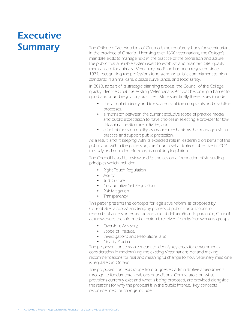# **Executive Summary**

The College of Veterinarians of Ontario is the regulatory body for veterinarians in the province of Ontario. Licensing over 4600 veterinarians, the College's mandate exists to manage risks in the practice of the profession and assure the public that a reliable system exists to establish and maintain safe, quality medical care for animals. Veterinary medicine has been regulated since 1877, recognizing the professions long standing public commitment to high standards in animal care, disease surveillance, and food safety.

In 2013, as part of its strategic planning process, the Council of the College quickly identified that the existing Veterinarians Act was becoming a barrier to good and sound regulatory practices. More specifically these issues include:

- the lack of efficiency and transparency of the complaints and discipline processes,
- a mismatch between the current exclusive scope of practice model and public expectation to have choices in selecting a provider for low risk animal health care activities, and
- a lack of focus on quality assurance mechanisms that manage risks in practice and support public protection.

As a result, and in keeping with its expected role in leadership on behalf of the public and within the profession, the Council set a strategic objective in 2014 to study and consider reforming its enabling legislation.

The Council based its review and its choices on a foundation of six guiding principles which included:

- Right Touch Regulation
- Agility
- Just Culture
- • Collaborative Self-Regulation
- Risk Mitigation
- Transparency

This paper presents the concepts for legislative reform, as proposed by Council after a robust and lengthy process of public consultations, of research, of accessing expert advice, and of deliberation. In particular, Council acknowledges the informed direction it received from its four working groups:

- Oversight Advisory,
- Scope of Practice,
- • Investigations and Resolutions, and
- **Quality Practice.**

The proposed concepts are meant to identify key areas for government's consideration in modernizing the existing Veterinarians Act and making recommendations for real and meaningful change to how veterinary medicine is regulated in Ontario.

The proposed concepts range from suggested administrative amendments through to fundamental revisions or additions. Comparators on what provisions currently exist and what is being proposed, are provided alongside the reasons for why the proposal is in the public interest. Key concepts recommended for change include: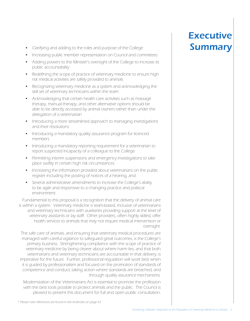- Clarifying and adding to the roles and purpose of the College
- Increasing public member representation on Council and committees
- Adding powers to the Minister's oversight of the College to increase its public accountability
- Redefining the scope of practice of veterinary medicine to ensure high risk medical activities are safely provided to animals
- Recognizing veterinary medicine as a system and acknowledging the skill set of veterinary technicians within the team
- Acknowledging that certain health care activities such as massage therapy, manual therapy, and other alternative options should be able to be directly accessed by animal owners rather than under the delegation of a veterinarian
- Introducing a more streamlined approach to managing investigations and their resolutions
- Introducing a mandatory quality assurance program for licenced members
- Introducing a mandatory reporting requirement for a veterinarian to report suspected incapacity of a colleague to the College
- Permitting interim suspensions and emergency investigations to take place swiftly in certain high risk circumstances
- Increasing the information provided about veterinarians on the public register including the posting of notices of a hearing, and
- Several administrative amendments to increase the College's ability to be agile and responsive to a changing practice and political environment

Fundamental to this proposal is a recognition that the delivery of animal care is within a system. Veterinary medicine is team-based, inclusive of veterinarians and veterinary technicians with auxiliaries providing support at the level of veterinary assistants or lay staff. Other providers, often highly skilled, offer health services to animals that may not require medical intervention or oversight.

The safe care of animals, and ensuring that veterinary medical procedures are managed with careful vigilance to safeguard great outcomes, is the College's primary business. Strengthening compliance with the scope of practice of veterinary medicine by being clearer about where harm lies, and that both veterinarians and veterinary technicians are accountable in that delivery, is imperative for the future. Further, professional regulation will work best when it is guided by professionalism and focused on the promotion of standards of competence and conduct, taking action where standards are breached, and through quality assurance mechanisms.

Modernization of the Veterinarians Act is essential to promote the profession with the best tools possible to protect animals and the public. The Council is pleased to present this document for full and open public consultation.

# Executive **Summary**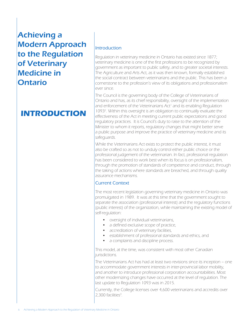### **INTRODUCTION**

#### Introduction

Regulation in veterinary medicine in Ontario has existed since 1877; veterinary medicine is one of the first professions to be recognized by government as important to public safety, and to greater societal interests. The Agriculture and Arts Act, as it was then known, formally established the social contract between veterinarians and the public. This has been a cornerstone to the profession's view of its obligations and professionalism ever since.

The Council is the governing body of the College of Veterinarians of Ontario and has, as its chief responsibility, oversight of the implementation and enforcement of the Veterinarians Act<sup>1</sup> and its enabling Regulation 10932 . Within this oversight is an obligation to continually evaluate the effectiveness of the Act in meeting current public expectations and good regulatory practices. It is Council's duty to raise to the attention of the Minister to whom it reports, regulatory changes that might better serve a public purpose and improve the practice of veterinary medicine and its safeguards.

While the Veterinarians Act exists to protect the public interest, it must also be crafted so as not to unduly control either public choice or the professional judgement of the veterinarian. In fact, professional regulation has been considered to work best when its focus is on professionalism, through the promotion of standards of competence and conduct, through the taking of actions where standards are breached, and through quality assurance mechanisms.

#### Current Context

The most recent legislation governing veterinary medicine in Ontario was promulgated in 1989. It was at this time that the government sought to separate the association (professional interest) and the regulatory functions (public interest) of the organization, while maintaining the existing model of self-regulation:

- • oversight of individual veterinarians,
- a defined exclusive scope of practice,
- accreditation of veterinary facilities,
- • establishment of professional standards and ethics, and
- a complaints and discipline process.

This model, at the time, was consistent with most other Canadian jurisdictions.

The Veterinarians Act has had at least two revisions since its inception – one to accommodate government interests in inter-provincial labor mobility, and another to introduce professional corporation accountabilities. Most other modernizing changes have occurred at the level of regulation. The last update to Regulation 1093 was in 2015.

Currently, the College licenses over 4,600 veterinarians and accredits over 2,300 facilities<sup>3</sup>. .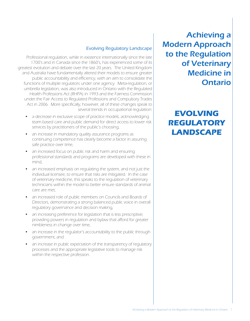#### Evolving Regulatory Landscape

Professional regulation, while in existence internationally since the late 1700's and in Canada since the 1860's, has experienced some of its greatest evolution and debate over the last 20 years. The United Kingdom and Australia have fundamentally altered their models to ensure greater public accountability and efficiency, with an aim to consolidate the functions of multiple regulators under one agency. Meta-regulation, or umbrella legislation, was also introduced in Ontario with the Regulated Health Professions Act (RHPA) in 1993 and the Fairness Commission under the Fair Access to Regulated Professions and Compulsory Trades Act in 2006. More specifically, however, all of these changes speak to several trends in occupational regulation:

- a decrease in exclusive scope of practice models, acknowledging team based care and public demand for direct access to lower risk services by practitioners of the public's choosing,
- an increase in mandatory quality assurance programs as continuing competence has clearly become a factor in assuring safe practice over time,
- an increased focus on public risk and harm and ensuring professional standards and programs are developed with these in mind,
- an increased emphasis on regulating the system, and not just the individual licensee, to ensure that risks are mitigated. In the case of veterinary medicine, this speaks to the regulation of veterinary technicians within the model to better ensure standards of animal care are met,
- an increased role of public members on Councils and Boards of Directors, demonstrating a strong balanced public voice in overall regulatory governance and decision making,
- an increasing preference for legislation that is less prescriptive; providing powers in regulation and bylaw that afford for greater nimbleness in change over time,
- an increase in the regulator's accountability to the public through government, and
- an increase in public expectation of the transparency of regulatory processes and the appropriate legislative tools to manage risk within the respective profession.

Achieving a Modern Approach to the Regulation of Veterinary Medicine in Ontario

# **EVOLVING REGULATORY LANDSCAPE**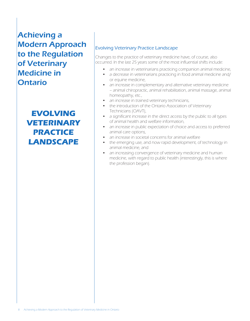**EVOLVING VETERINARY PRACTICE LANDSCAPE**

#### Evolving Veterinary Practice Landscape

Changes to the practice of veterinary medicine have, of course, also occurred. In the last 25 years some of the most influential shifts include:

- an increase in veterinarians practicing companion animal medicine,
- a decrease in veterinarians practicing in food animal medicine and/ or equine medicine,
- an increase in complementary and alternative veterinary medicine – animal chiropractic, animal rehabilitation, animal massage, animal homeopathy, etc.,
- an increase in trained veterinary technicians,
- the introduction of the Ontario Association of Veterinary Technicians (OAVT),
- a significant increase in the direct access by the public to all types of animal health and welfare information,
- an increase in public expectation of choice and access to preferred animal care options,
- an increase in societal concerns for animal welfare
- the emerging use, and now rapid development, of technology in animal medicine, and
- an increasing convergence of veterinary medicine and human medicine, with regard to public health (interestingly, this is where the profession began).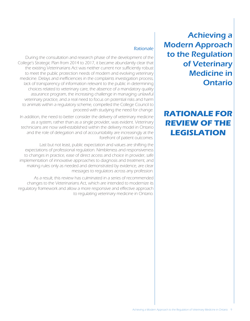### **RATIONALE FOR REVIEW OF THE LEGISLATION**

#### **Rationale**

During the consultation and research phase of the development of the College's Strategic Plan from 2014 to 2017, it became abundantly clear that the existing Veterinarians Act was neither current nor sufficiently robust to meet the public protection needs of modern and evolving veterinary medicine. Delays and inefficiencies in the complaints investigation process, lack of transparency of information relevant to the public in determining choices related to veterinary care, the absence of a mandatory quality assurance program, the increasing challenge in managing unlawful veterinary practice, and a real need to focus on potential risks and harm to animals within a regulatory scheme, compelled the College Council to proceed with studying the need for change.

In addition, the need to better consider the delivery of veterinary medicine as a system, rather than as a single provider, was evident. Veterinary technicians are now well-established within the delivery model in Ontario and the role of delegation and of accountability are increasingly at the forefront of patient outcomes.

Last but not least, public expectation and values are shifting the expectations of professional regulation. Nimbleness and responsiveness to changes in practice, ease of direct access and choice in provider, safe implementation of innovative approaches to diagnosis and treatment, and making rules only as needed and demonstrated by evidence, are clear messages to regulators across any profession.

As a result, this review has culminated in a series of recommended changes to the Veterinarians Act, which are intended to modernize its regulatory framework and allow a more responsive and effective approach to regulating veterinary medicine in Ontario.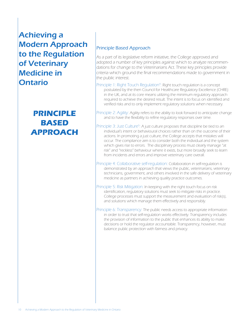### **PRINCIPLE BASED APPROACH**

#### Principle Based Approach

As a part of its legislative reform initiative, the College approved and adopted a number of key principles against which to analyze recommendations for change to the Veterinarians Act. These key principles provide criteria which ground the final recommendations made to government in the public interest.

- Principle 1: Right Touch Regulation<sup>4</sup>: Right touch regulation is a concept postulated by the then Council for Healthcare Regulatory Excellence (CHRE) in the UK, and at its core means utilizing the minimum regulatory approach required to achieve the desired result. The intent is to focus on identified and verified risks and to only implement regulatory solutions when necessary.
- Principle 2: Agility: Agility refers to the ability to look forward to anticipate change and to have the flexibility to refine regulatory responses over time.
- Principle 3: Just Culture<sup>5</sup>: A just culture proposes that discipline be tied to an individual's intent or behavioural choices rather than on the outcome of their actions. In promoting a just culture, the College accepts that mistakes will occur. The compliance aim is to consider both the individual and the system which gives rise to errors. The disciplinary process must clearly manage "at risk" and "reckless" behaviour where it exists, but more broadly seek to learn from incidents and errors and improve veterinary care overall.
- Principle 4: Collaborative self-regulation: Collaboration in self-regulation is demonstrated by an approach that views the public, veterinarians, veterinary technicians, government, and others involved in the safe delivery of veterinary medicine as partners in achieving quality practice outcomes.
- Principle 5: Risk Mitigation: In keeping with the right touch focus on risk identification, regulatory solutions must seek to mitigate risks in practice. College processes must support the measurement and evaluation of risk(s), and solutions which manage them effectively and responsibly.
- Principle 6: Transparency: The public needs access to appropriate information in order to trust that self-regulation works effectively. Transparency includes the provision of information to the public that enhances its ability to make decisions or hold the regulator accountable. Transparency, however, must balance public protection with fairness and privacy.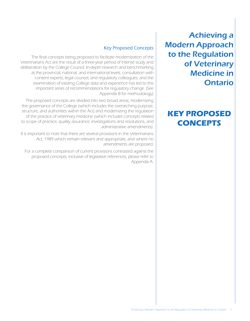### **KEY PROPOSED CONCEPTS**

#### Key Proposed Concepts

The final concepts being proposed to facilitate modernization of the Veterinarians Act are the result of a three-year period of intense study and deliberation by the College Council. In-depth research and benchmarking at the provincial, national, and international levels, consultation with content experts, legal counsel, and regulatory colleagues, and the examination of existing College data and experience has led to this important series of recommendations for regulatory change. (See Appendix B for methodology)

The proposed concepts are divided into two broad areas; modernizing the governance of the College (which includes the overarching purpose, structure, and authorities within the Act) and modernizing the regulation of the practice of veterinary medicine (which includes concepts related to scope of practice, quality assurance, investigations and resolutions, and administrative amendments).

It is important to note that there are several provisions in the Veterinarians Act, 1989 which remain relevant and appropriate, and where no amendments are proposed.

For a complete comparison of current provisions contrasted against the proposed concepts, inclusive of legislative references, please refer to Appendix A.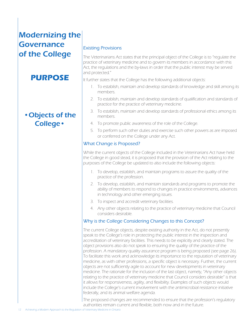# Modernizing the **Governance** of the College

### **PURPOSE**

### •Objects of the College•

#### Existing Provisions

The Veterinarians Act states that the principal object of the College is to "regulate the practice of veterinary medicine and to govern its members in accordance with this Act, the regulations and the by-laws in order that the public interest may be served and protected."

It further states that the College has the following additional objects:

- 1. To establish, maintain and develop standards of knowledge and skill among its members.
- 2. To establish, maintain and develop standards of qualification and standards of practice for the practice of veterinary medicine.
- 3. To establish, maintain and develop standards of professional ethics among its members.
- 4. To promote public awareness of the role of the College.
- 5. To perform such other duties and exercise such other powers as are imposed or conferred on the College under any Act.

#### What Change is Proposed?

While the current objects of the College included in the Veterinarians Act have held the College in good stead, it is proposed that the provision of the Act relating to the purposes of the College be updated to also include the following objects:

- 1. To develop, establish, and maintain programs to assure the quality of the practice of the profession.
- 2. To develop, establish, and maintain standards and programs to promote the ability of members to respond to changes in practice environments, advances in technology and other emerging issues.
- 3. To inspect and accredit veterinary facilities.
- 4. Any other objects relating to the practice of veterinary medicine that Council considers desirable.

#### Why is the College Considering Changes to this Concept?

The current College objects, despite existing authority in the Act, do not presently speak to the College's role in protecting the public interest in the inspection and accreditation of veterinary facilities. This needs to be explicitly and clearly stated. The object provisions also do not speak to ensuring the quality of the practice of the profession. A mandatory quality assurance program is being proposed (see page 26). To facilitate this work and acknowledge its importance to the reputation of veterinary medicine, as with other professions, a specific object is necessary. Further, the current objects are not sufficiently agile to account for new developments in veterinary medicine. The rationale for the inclusion of the last object, namely, "Any other objects relating to the practice of veterinary medicine that Council considers desirable" is that it allows for responsiveness, agility, and flexibility. Examples of such objects would include the College's current involvement with the antimicrobial resistance initiative federally, and its animal welfare agenda.

The proposed changes are recommended to ensure that the profession's regulatory authorities remain current and flexible, both now and in the future.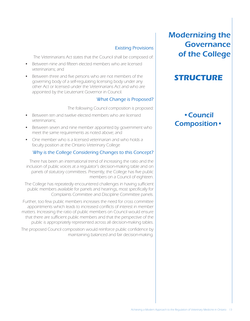#### Existing Provisions

The Veterinarians Act states that the Council shall be composed of:

- Between nine and fifteen elected members who are licensed veterinarians; and
- Between three and five persons who are not members of the governing body of a self-regulating licensing body under any other Act or licensed under the Veterinarians Act and who are appointed by the Lieutenant Governor in Council.

#### What Change is Proposed?

The following Council composition is proposed:

- Between ten and twelve elected members who are licensed veterinarians;
- Between seven and nine member appointed by government who meet the same requirements as noted above; and
- One member who is a licensed veterinarian and who holds a faculty position at the Ontario Veterinary College

#### Why is the College Considering Changes to this Concept?

There has been an international trend of increasing the ratio and the inclusion of public voices at a regulator's decision-making table and on panels of statutory committees. Presently, the College has five public members on a Council of eighteen.

The College has repeatedly encountered challenges in having sufficient public members available for panels and hearings, most specifically for Complaints Committee and Discipline Committee panels.

Further, too few public members increases the need for cross committee appointments which leads to increased conflicts of interest in member matters. Increasing the ratio of public members on Council would ensure that there are sufficient public members and that the perspective of the public is appropriately represented across all decision-making tables.

The proposed Council composition would reinforce public confidence by maintaining balanced and fair decision-making.

### Modernizing the Governance of the College

### **STRUCTURE**

### •Council Composition•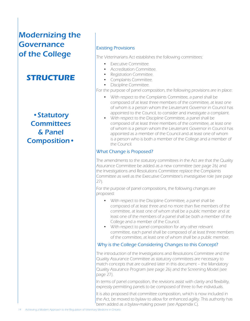# Modernizing the Governance of the College

### **STRUCTURE**

•Statutory **Committees** & Panel Composition•

#### Existing Provisions

The Veterinarians Act establishes the following committees:

- Executive Committee.
- Accreditation Committee.
- Registration Committee.
- Complaints Committee.
- Discipline Committee.

For the purpose of panel composition, the following provisions are in place:

- With respect to the Complaints Committee, a panel shall be composed of at least three members of the committee, at least one of whom is a person whom the Lieutenant Governor in Council has appointed to the Council, to consider and investigate a complaint.
- With respect to the Discipline Committee, a panel shall be composed of at least three members of the committee, at least one of whom is a person whom the Lieutenant Governor in Council has appointed as a member of the Council and at least one of whom is a person who is both a member of the College and a member of the Council.

#### What Change is Proposed?

The amendments to the statutory committees in the Act are that the Quality Assurance Committee be added as a new committee (see page 26) and the Investigations and Resolutions Committee replace the Complaints Committee as well as the Executive Committee's investigative role (see page 27).

For the purpose of panel compositions, the following changes are proposed:

- With respect to the Discipline Committee, a panel shall be composed of at least three and no more than five members of the committee, at least one of whom shall be a public member and at least one of the members of a panel shall be both a member of the College and a member of the Council.
- With respect to panel composition for any other relevant committee, each panel shall be composed of at least three members of the committee, at least one of whom shall be a public member.

#### Why is the College Considering Changes to this Concept?

The introduction of the Investigations and Resolutions Committee and the Quality Assurance Committee as statutory committees are necessary to match concepts that are outlined later in this document – the Mandatory Quality Assurance Program (see page 26) and the Screening Model (see page 27).

In terms of panel composition, the revisions assist with clarity and flexibility, expressly permitting panels to be composed of three to five individuals.

It is also proposed that committee composition, which is now included in the Act, be moved to bylaw to allow for enhanced agility. This authority has been added as a bylaw-making power (see Appendix C).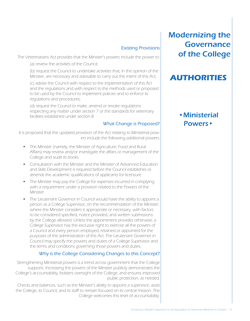#### Existing Provisions

The Veterinarians Act provides that the Minister's powers include the power to:

(a) review the activities of the Council;

(b) request the Council to undertake activities that, in the opinion of the Minister, are necessary and advisable to carry out the intent of this Act;

(c) advise the Council with respect to the implementation of this Act and the regulations and with respect to the methods used or proposed to be used by the Council to implement policies and to enforce its regulations and procedures;

(d) request the Council to make, amend or revoke regulations respecting any matter under section 7 or the standards for veterinary facilities established under section 8

#### What Change is Proposed?

It is proposed that the updated provision of the Act relating to Ministerial powers include the following additional powers:

- The Minister (namely, the Minister of Agriculture, Food and Rural Affairs) may review and/or investigate the affairs or management of the College and audit its books.
- Consultation with the Minister and the Minister of Advanced Education and Skills Development is required before the Council establishes or amends the academic qualifications of applicants for licensure.
- The Minister may pay the College for expenses incurred in complying with a requirement under a provision related to the Powers of the Minister.
- The Lieutenant Governor in Council would have the ability to appoint a person as a College Supervisor, on the recommendation of the Minister, where the Minister considers it appropriate or necessary, with factors to be considered specified, notice provided, and written submissions by the College allowed. Unless the appointment provides otherwise, a College Supervisor has the exclusive right to exercise all the powers of a Council and every person employed, retained or appointed for the purposes of the administration of this Act. The Lieutenant Governor in Council may specify the powers and duties of a College Supervisor and the terms and conditions governing those powers and duties.

#### Why is the College Considering Changes to this Concept?

Strengthening Ministerial powers is a trend across government that the College supports. Increasing the powers of the Minister publicly demonstrates the College's accountability, bolsters oversight of the College, and ensures improved public protection, as needed.

Checks and balances, such as the Minister's ability to appoint a supervisor, assist the College, its Council, and its staff to remain focused on its central mission. The College welcomes this level of accountability.

### Modernizing the Governance of the College

### **AUTHORITIES**

### •Ministerial Powers•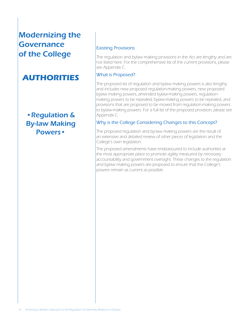# Modernizing the **Governance** of the College

### **AUTHORITIES**

•Regulation & By-law Making Powers•

#### Existing Provisions

The regulation and bylaw making provisions in the Act are lengthy and are not listed here. For the comprehensive list of the current provisions, please see Appendix C.

#### What is Proposed?

The proposed list of regulation and bylaw making powers is also lengthy and includes new proposed regulation-making powers, new proposed bylaw making powers, amended bylaw-making powers, regulationmaking powers to be repealed, bylaw-making powers to be repealed, and provisions that are proposed to be moved from regulation-making powers to bylaw-making powers. For a full list of the proposed provision, please see Appendix C.

#### Why is the College Considering Changes to this Concept?

The proposed regulation and by-law making powers are the result of an extensive and detailed review of other pieces of legislation and the College's own legislation.

The proposed amendments have endeavoured to include authorities at the most appropriate place to promote agility measured by necessary accountability and government oversight. These changes to the regulation and bylaw making powers are proposed to ensure that the College's powers remain as current as possible.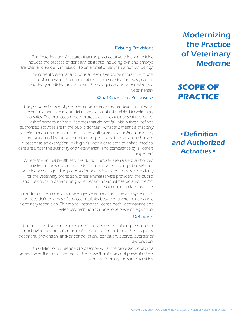# **SCOPE OF PRACTICE**

•Definition and Authorized Activities•

#### Existing Provisions

The Veterinarians Act states that the practice of veterinary medicine "includes the practice of dentistry, obstetrics including ova and embryo transfer, and surgery, in relation to an animal other than a human being."

The current Veterinarians Act is an exclusive scope of practice model of regulation wherein no one other than a veterinarian may practice veterinary medicine unless under the delegation and supervision of a veterinarian.

#### What Change is Proposed?

The proposed scope of practice model offers a clearer definition of what veterinary medicine is, and definitively lays out risks related to veterinary activities. The proposed model protects activities that pose the greatest risk of harm to animals. Activities that do not fall within these defined authorized activities are in the public domain. What this means is that only a veterinarian can perform the activities authorized by the Act unless they are delegated by the veterinarian, or specifically listed as an authorized subset or as an exemption. All high-risk activities related to animal medical care are under the authority of a veterinarian, and compliance by all others is expected.

Where the animal health services do not include a legislated, authorized activity, an individual can provide those services to the public without veterinary oversight. The proposed model is intended to assist with clarity for the veterinary profession, other animal service providers, the public, and the courts in determining whether an individual has violated the Act related to unauthorized practice.

In addition, the model acknowledges veterinary medicine as a system that includes defined areas of co-accountability between a veterinarian and a veterinary technician. This model intends to license both veterinarians and veterinary technicians under one piece of legislation.

#### **Definition**

The practice of veterinary medicine is the assessment of the physiological or behavioural status of an animal or group of animals and the diagnosis, treatment, prevention, and/or control of any condition, disease, disorder or dysfunction.

This definition is intended to describe what the profession does in a general way. It is not protected, in the sense that it does not prevent others from performing the same activities.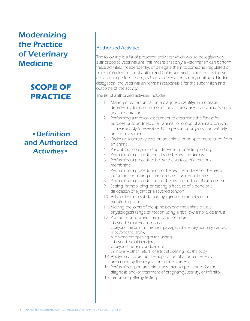# **SCOPE OF PRACTICE**

•Definition and Authorized Activities•

#### Authorized Activities

The following is a list of proposed activities which would be legislatively authorized to veterinarians; this means that only a veterinarian can perform these activities independently, or delegate them to someone (regulated or unregulated) who is not authorized but is deemed competent by the veterinarian to perform them, as long as delegation is not prohibited. Under delegation, the veterinarian remains responsible for the supervision and outcome of the activity.

The list of authorized activities includes:

- 1. Making or communicating a diagnosis identifying a disease, disorder, dysfunction or condition as the cause of an animal's signs and presentation
- 2. Performing a medical assessment to determine the fitness for purpose or soundness of an animal, or group of animals, on which it is reasonably foreseeable that a person or organization will rely on the assessment.
- 3. Ordering laboratory tests on an animal or on specimens taken from an animal.
- 4. Prescribing, compounding, dispensing, or selling a drug
- 5. Performing a procedure on tissue below the dermis
- 6. Performing a procedure below the surface of a mucous membrane
- 7. Performing a procedure on or below the surfaces of the teeth, including the scaling of teeth and occlusal equilibration
- 8. Performing a procedure on or below the surface of the cornea
- 9. Setting, immobilizing, or casting a fracture of a bone or a dislocation of a joint or a severed tendon
- 10. Administering a substance by injection or inhalation, or monitoring of such
- 11. Moving the joints of the spine beyond the animal's usual physiological range of motion using a fast, low amplitude thrust
- 12. Putting an instrument, arm, hand, or finger, i. beyond the external ear canal,
	- ii. beyond the point in the nasal passages where they normally narrow,
	- iii. beyond the larynx,
	- iv. beyond the opening of the urethra,
	- v. beyond the labia majora,
	- vi. beyond the anus or cloaca, or
	- vii. into any other natural or artificial opening into the body
- 13. Applying or ordering the application of a form of energy prescribed by the regulations under this Act
- 14. Performing upon an animal any manual procedure for the diagnosis and/or treatment of pregnancy, sterility, or infertility
- 15. Performing allergy testing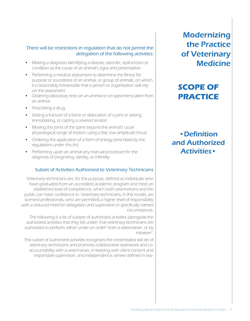#### There will be restrictions in regulation that do not permit the delegation of the following activities:

- Making a diagnosis identifying a disease, disorder, dysfunction or condition as the cause of an animal's signs and presentation
- Performing a medical assessment to determine the fitness for purpose or soundness of an animal, or group of animals, on which it is reasonably foreseeable that a person or organization will rely on the assessment
- Ordering laboratory tests on an animal or on specimens taken from an animal
- Prescribing a drug
- Setting a fracture of a bone or dislocation of a joint or setting, immobilizing, or casting a severed tendon
- Moving the joints of the spine beyond the animal's usual physiological range of motion using a fast, low amplitude thrust
- Ordering the application of a form of energy prescribed by the regulations under this Act
- Performing upon an animal any manual procedure for the diagnosis of pregnancy, sterility, or infertility

#### Subset of Activities Authorized to Veterinary Technicians

Veterinary technicians are, for this purpose, defined as individuals who have graduated from an accredited academic program and meet an established level of competence, which both veterinarians and the public can have confidence in. Veterinary technicians, in this model, are licensed professionals, who are permitted a higher level of responsibility with a reduced need for delegation and supervision in specifically named circumstances.

The following is a list of subsets of authorized activities (alongside the authorized activities that they fall under) that veterinary technicians are authorized to perform, either under an order<sup>6</sup> from a veterinarian, or by initiation7 .

This subset of authorized activities recognizes the credentialed skill set of veterinary technicians and promotes collaborative teamwork and coaccountability with a veterinarian, in keeping with client consent and responsible supervision, and independence, where defined in law.

**Modernizing** the Practice of Veterinary **Medicine** 

# **SCOPE OF PRACTICE**

•Definition and Authorized Activities•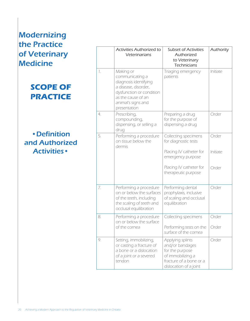### **SCOPE OF PRACTICE**

### •Definition and Authorized Activities•

|                | <b>Activities Authorized to</b><br>Veterinarians                                                                                                                      | <b>Subset of Activities</b><br>Authorized<br>to Veterinary<br><b>Technicians</b>                                                 | Authority         |
|----------------|-----------------------------------------------------------------------------------------------------------------------------------------------------------------------|----------------------------------------------------------------------------------------------------------------------------------|-------------------|
| $\mathbb{I}$ . | Making or<br>communicating a<br>diagnosis identifying<br>a disease, disorder,<br>dysfunction or condition<br>as the cause of an<br>animal's signs and<br>presentation | Triaging emergency<br>patients                                                                                                   | Initiate          |
| 4.             | Prescribing,<br>compounding,<br>dispensing, or selling a<br>drug                                                                                                      | Preparing a drug<br>for the purpose of<br>dispensing a drug                                                                      | Order             |
| 5.             | Performing a procedure<br>on tissue below the<br>dermis                                                                                                               | Collecting specimens<br>for diagnostic tests<br>Placing IV catheter for<br>emergency purpose                                     | Order<br>Initiate |
|                |                                                                                                                                                                       | Placing IV catheter for<br>therapeutic purpose                                                                                   | Order             |
| 7.             | Performing a procedure<br>on or below the surfaces<br>of the teeth, including<br>the scaling of teeth and<br>occlusal equilibration                                   | Performing dental<br>prophylaxis, inclusive<br>of scaling and occlusal<br>equilibration                                          | Order             |
| 8.             | Performing a procedure<br>on or below the surface<br>of the cornea                                                                                                    | Collecting specimens<br>Performing tests on the<br>surface of the cornea                                                         | Order<br>Order    |
| 9.             | Setting, immobilizing,<br>or casting a fracture of<br>a bone or a dislocation<br>of a joint or a severed<br>tendon                                                    | Applying splints<br>and/or bandages<br>for the purpose<br>of immobilizing a<br>fracture of a bone or a<br>dislocation of a joint | Order             |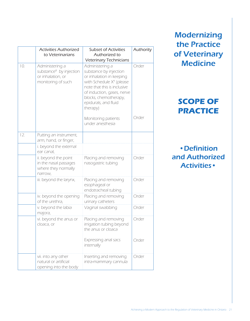|     | <b>Activities Authorized</b><br>to Veterinarians                                                  | <b>Subset of Activities</b><br>Authorized to<br>Veterinary Technicians                                                                                                                                                         | Authority |
|-----|---------------------------------------------------------------------------------------------------|--------------------------------------------------------------------------------------------------------------------------------------------------------------------------------------------------------------------------------|-----------|
| 10. | Administering a<br>substance <sup>8</sup> by injection<br>or inhalation, or<br>monitoring of such | Administering a<br>substance by injection<br>or inhalation in keeping<br>with Schedule $X^9$ (please<br>note that this is inclusive<br>of induction, gases, nerve<br>blocks, chemotherapy,<br>epidurals, and fluid<br>therapy) | Order     |
|     |                                                                                                   | Monitoring patients<br>under anesthesia                                                                                                                                                                                        | Order     |
| 12. | Putting an instrument,<br>arm, hand, or finger,                                                   |                                                                                                                                                                                                                                |           |
|     | i. beyond the external<br>ear canal,                                                              |                                                                                                                                                                                                                                |           |
|     | ii. beyond the point<br>in the nasal passages<br>where they normally<br>narrow,                   | Placing and removing<br>nasogastric tubing                                                                                                                                                                                     | Order     |
|     | iii. beyond the larynx,                                                                           | Placing and removing<br>esophageal or<br>endotracheal tubing                                                                                                                                                                   | Order     |
|     | iv. beyond the opening<br>of the urethra,                                                         | Placing and removing<br>urinary catheters                                                                                                                                                                                      | Order     |
|     | v. beyond the labia<br>majora,                                                                    | Vaginal swabbing                                                                                                                                                                                                               | Order     |
|     | vi. beyond the anus or<br>cloaca, or                                                              | Placing and removing<br>irrigation tubing beyond<br>the anus or cloaca                                                                                                                                                         | Order     |
|     |                                                                                                   | Expressing anal sacs<br>internally                                                                                                                                                                                             | Order     |
|     | vii. into any other<br>natural or artificial<br>opening into the body                             | Inserting and removing<br>intra-mammary cannula                                                                                                                                                                                | Order     |

# **SCOPE OF PRACTICE**

•Definition and Authorized Activities•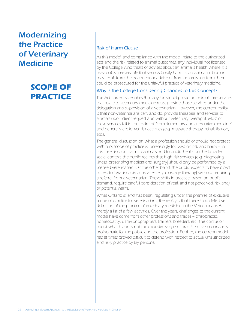# **SCOPE OF PRACTICE**

#### Risk of Harm Clause

As this model, and compliance with the model, relate to the authorized acts and the risk related to animal outcomes, any individual not licensed by the College who treats or advises about an animal's health where it is reasonably foreseeable that serious bodily harm to an animal or human may result from the treatment or advice or from an omission from them could be prosecuted for the unlawful practice of veterinary medicine.

#### Why is the College Considering Changes to this Concept?

The Act currently requires that any individual providing animal care services that relate to veterinary medicine must provide those services under the delegation and supervision of a veterinarian. However, the current reality is that non-veterinarians can, and do, provide therapies and services to animals upon client request and without veterinary oversight. Most of these services fall in the realm of "complementary and alternative medicine" and generally are lower risk activities (e.g. massage therapy, rehabilitation, etc.).

The general discussion on what a profession should or should not protect within its scope of practice is increasingly focused on risk and harm – in this case risk and harm to animals and to public health. In the broader social context, the public realizes that high risk services (e.g. diagnosing illness, prescribing medications, surgery) should only be performed by a licensed veterinarian. On the other hand, the public expects to have direct access to low risk animal services (e.g. massage therapy) without requiring a referral from a veterinarian. These shifts in practice, based on public demand, require careful consideration of real, and not perceived, risk and/ or potential harm.

While Ontario is, and has been, regulating under the premise of exclusive scope of practice for veterinarians, the reality is that there is no definitive definition of the practice of veterinary medicine in the Veterinarians Act, merely a list of a few activities. Over the years, challenges to the current model have come from other professions and trades – chiropractic, homeopathy, ultra-sonographers, trainers, breeders, etc. This confusion about what is and is not the exclusive scope of practice of veterinarians is problematic for the public and the profession. Further, the current model has at times proved difficult to defend with respect to actual unauthorized and risky practice by lay persons.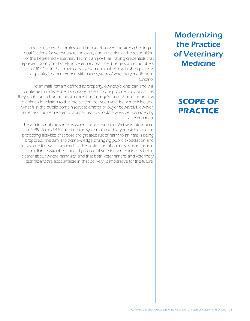# **SCOPE OF PRACTICE**

In recent years, the profession has also observed the strengthening of qualifications for veterinary technicians, and in particular the recognition of the Registered Veterinary Technician (RVT) as having credentials that represent quality and safety in veterinary practice. The growth in numbers of RVT's<sup>10</sup> in the province is a testament to their established place as a qualified team member within the system of veterinary medicine in Ontario.

As animals remain defined as property, owners/clients can and will continue to independently choose a health care provider for animals, as they might do in human health care. The College's focus should be on risks to animals in relation to the intersection between veterinary medicine and what is in the public domain (caveat emptor or buyer beware). However, higher risk choices related to animal health should always be managed by a veterinarian.

The world is not the same as when the Veterinarians Act was introduced in 1989. A model focused on the system of veterinary medicine and on protecting activities that pose the greatest risk of harm to animals is being proposed. The aim is to acknowledge changing public expectation and to balance this with the need for the protection of animals. Strengthening compliance with the scope of practice of veterinary medicine by being clearer about where harm lies, and that both veterinarians and veterinary technicians are accountable in that delivery, is imperative for the future.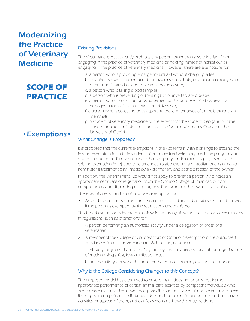# **SCOPE OF PRACTICE**

### •Exemptions•

#### Existing Provisions

The Veterinarians Act currently prohibits any person, other than a veterinarian, from engaging in the practice of veterinary medicine or holding himself or herself out as engaging in the practice of veterinary medicine. However, there are exemptions for:

- a. a person who is providing emergency first aid without charging a fee;
- b. an animal's owner, a member of the owner's household, or a person employed for general agricultural or domestic work by the owner;
- c. a person who is taking blood samples
- d. a person who is preventing or treating fish or invertebrate diseases;
- e. a person who is collecting or using semen for the purposes of a business that engages in the artificial insemination of livestock;
- f. a person who is collecting or transporting ova and embryos of animals other than mammals;
- g. a student of veterinary medicine to the extent that the student is engaging in the undergraduate curriculum of studies at the Ontario Veterinary College of the University of Guelph.

#### What Change is Proposed?

It is proposed that the current exemptions in the Act remain with a change to expand the learner exemption to include students of an accredited veterinary medicine program and students of an accredited veterinary technician program. Further, it is proposed that the existing exemption in (b) above be amended to also exempt a custodian of an animal to administer a treatment plan, made by a veterinarian, and at the direction of the owner.

In addition, the Veterinarians Act would not apply to prevent a person who holds an appropriate certificate of registration from the Ontario College of Pharmacists from compounding and dispensing drugs for, or selling drugs to, the owner of an animal

There would be an additional proposed exemption for:

An act by a person is not in contravention of the authorized activities section of the Act if the person is exempted by the regulations under this Act

This broad exemption is intended to allow for agility by allowing the creation of exemptions in regulations, such as exemptions for:

- 1. A person performing an authorized activity under a delegation or order of a veterinarian
- 2. A member of the College of Chiropractors of Ontario is exempt from the authorized activities section of the Veterinarians Act for the purpose of:

a. Moving the joints of an animal's spine beyond the animal's usual physiological range of motion using a fast, low amplitude thrust

b. putting a finger beyond the anus for the purpose of manipulating the tailbone

#### Why is the College Considering Changes to this Concept?

The proposed model has attempted to ensure that it does not unduly restrict the appropriate performance of certain animal care activities by competent individuals who are not veterinarians. The model recognizes that certain classes of non-veterinarians have the requisite competence, skills, knowledge, and judgment to perform defined authorized activities, or aspects of them, and clarifies when and how this may be done.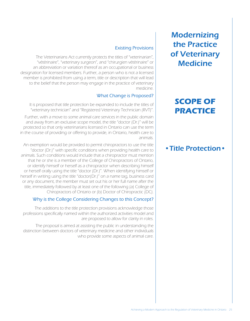# **SCOPE OF PRACTICE**

### •Title Protection•

#### Existing Provisions

The Veterinarians Act currently protects the titles of "veterinarian", "vétérinaire", "veterinary surgeon", and "chirurgien vétérinaire" or an abbreviation or variation thereof as an occupational or business designation for licensed members. Further, a person who is not a licensed member is prohibited from using a term, title or description that will lead to the belief that the person may engage in the practice of veterinary medicine.

#### What Change is Proposed?

It is proposed that title protection be expanded to include the titles of "veterinary technician" and "Registered Veterinary Technician (RVT)".

Further, with a move to some animal care services in the public domain and away from an exclusive scope model, the title "doctor (Dr.)" will be protected so that only veterinarians licensed in Ontario can use the term in the course of providing or offering to provide, in Ontario, health care to animals.

An exemption would be provided to permit chiropractors to use the title "doctor (Dr.)" with specific conditions when providing health care to animals. Such conditions would include that a chiropractor must mention that he or she is a member of the College of Chiropractors of Ontario, or identify himself or herself as a chiropractor when describing himself or herself orally using the title "doctor (Dr.)". When identifying himself or herself in writing using the title "doctor(Dr.)" on a name tag, business card or any document, the member must set out his or her full name after the title, immediately followed by at least one of the following (a) College of Chiropractors of Ontario or (b) Doctor of Chiropractic (DC).

#### Why is the College Considering Changes to this Concept?

The additions to the title protection provisions acknowledge those professions specifically named within the authorized activities model and are proposed to allow for clarity in roles.

The proposal is aimed at assisting the public in understanding the distinction between doctors of veterinary medicine and other individuals who provide some aspects of animal care.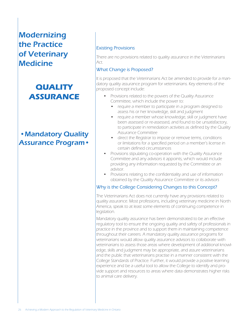# **QUALITY ASSURANCE**

### •Mandatory Quality Assurance Program•

#### Existing Provisions

There are no provisions related to quality assurance in the Veterinarians Act.

#### What Change is Proposed?

It is proposed that the Veterinarians Act be amended to provide for a mandatory quality assurance program for veterinarians. Key elements of the proposed concept include:

- Provisions related to the powers of the Quality Assurance Committee, which include the power to:
	- require a member to participate in a program designed to assess his or her knowledge, skill and judgment
	- require a member whose knowledge, skill or judgment have been assessed or re-assessed, and found to be unsatisfactory, to participate in remediation activities as defined by the Quality Assurance Committee
	- direct the Registrar to impose or remove terms, conditions or limitations for a specified period on a member's license in certain defined circumstances
- Provisions stipulating co-operation with the Quality Assurance Committee and any advisors it appoints, which would include providing any information requested by the Committee or an advisor.
- Provisions relating to the confidentiality and use of information obtained by the Quality Assurance Committee or its advisors

#### Why is the College Considering Changes to this Concept?

The Veterinarians Act does not currently have any provisions related to quality assurance. Most professions, including veterinary medicine in North America, speak to at least some elements of continuing competence in legislation.

Mandatory quality assurance has been demonstrated to be an effective regulatory tool to ensure the ongoing quality and safety of professionals in practice in the province and to support them in maintaining competence throughout their careers. A mandatory quality assurance programs for veterinarians would allow quality assurance advisors to collaborate with veterinarians to assess those areas where development of additional knowledge, skills and judgment may be appropriate, and assure veterinarians and the public that veterinarians practise in a manner consistent with the College Standards of Practice. Further, it would provide a positive learning experience and be a useful tool to allow the College to identify and provide support and resources to areas where data demonstrates higher risks to animal care delivery.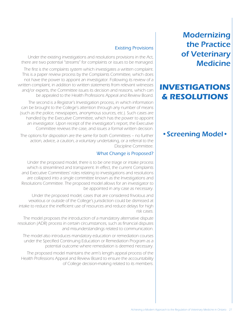### **INVESTIGATIONS & RESOLUTIONS**

### •Screening Model•

#### Existing Provisions

Under the existing investigations and resolutions provisions in the Act, there are two potential "streams" for complaints or issues to be managed.

The first is the complaints system which investigates a written complaint. This is a paper review process by the Complaints Committee, which does not have the power to appoint an investigator. Following its review of a written complaint, in addition to written statements from relevant witnesses and/or experts, the Committee issues its decision and reasons, which can be appealed to the Health Professions Appeal and Review Board.

The second is a Registrar's Investigation process, in which information can be brought to the College's attention through any number of means (such as the police, newspapers, anonymous sources, etc.). Such cases are handled by the Executive Committee, which has the power to appoint an investigator. Upon receipt of the investigator's report, the Executive Committee reviews the case, and issues a formal written decision.

The options for disposition are the same for both Committees – no further action, advice, a caution, a voluntary undertaking, or a referral to the Discipline Committee.

#### What Change is Proposed?

Under the proposed model, there is to be one triage or intake process which is streamlined and transparent. In effect, the current Complaints and Executive Committees' roles relating to investigations and resolutions are collapsed into a single committee known as the Investigations and Resolutions Committee. The proposed model allows for an investigator to be appointed in any case as necessary.

Under the proposed model, cases that are considered frivolous and vexatious or outside of the College's jurisdiction could be dismissed at intake to reduce the inefficient use of resources and reduce delays for high risk cases.

The model proposes the introduction of a mandatory alternative dispute resolution (ADR) process in certain circumstances, such as financial disputes and misunderstandings related to communication.

The model also introduces mandatory education or remediation courses under the Specified Continuing Education or Remediation Program as a potential outcome where remediation is deemed necessary.

The proposed model maintains the arm's length appeal process of the Health Professions Appeal and Review Board to ensure the accountability of College decision-making related to its members.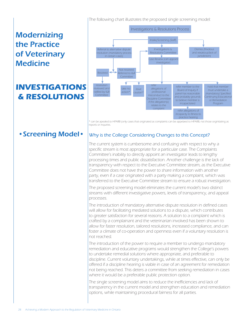# **INVESTIGATIONS & RESOLUTIONS**



\* can be apealed to HPARB (only cases that originated as complaints can be appelaed to HPARB, not those orginitating as reports or inquiries.

### •Screening Model•

#### Why is the College Considering Changes to this Concept?

The current system is cumbersome and confusing with respect to why a specific stream is most appropriate for a particular case. The Complaints Committee's inability to directly appoint an investigator leads to lengthy processing times and public dissatisfaction. Another challenge is the lack of transparency with respect to the Executive Committee stream, as the Executive Committee does not have the power to share information with another party, even if a case originated with a party making a complaint, which was transferred to the Executive Committee stream to ensure a robust investigation.

The proposed screening model eliminates the current model's two distinct streams with different investigative powers, levels of transparency, and appeal processes.

The introduction of mandatory alternative dispute resolution in defined cases will allow for facilitating mediated solutions to a dispute, which contributes to greater satisfaction for several reasons. A solution to a complaint which is crafted by a complainant and the veterinarian involved has been shown to allow for faster resolution, tailored resolutions, increased compliance, and can foster a climate of co-operation and openness even if a voluntary resolution is not reached.

The introduction of the power to require a member to undergo mandatory remediation and educative programs would strengthen the College's powers to undertake remedial solutions where appropriate, and preferable to discipline. Current voluntary undertakings, while at times effective, can only be offered if a discipline hearing is viable in case of an agreement for remediation not being reached. This deters a committee from seeking remediation in cases where it would be a preferable public protection option.

The single screening model aims to reduce the inefficiencies and lack of transparency in the current model and strengthen education and remediation options, while maintaining procedural fairness for all parties.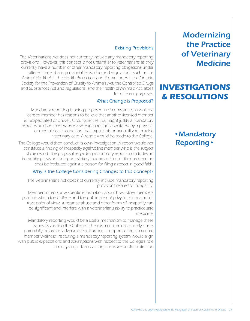### **INVESTIGATIONS & RESOLUTIONS**

### •Mandatory Reporting•

#### Existing Provisions

The Veterinarians Act does not currently include any mandatory reporting provisions. However, this concept is not unfamiliar to veterinarians as they currently have a number of other mandatory reporting obligations under different federal and provincial legislation and regulations, such as the Animal Health Act, the Health Protection and Promotion Act, the Ontario Society for the Prevention of Cruelty to Animals Act, the Controlled Drugs and Substances Act and regulations, and the Health of Animals Act, albeit for different purposes.

#### What Change is Proposed?

Mandatory reporting is being proposed in circumstances in which a licensed member has reasons to believe that another licensed member is incapacitated or unwell. Circumstances that might justify a mandatory report would be cases where a veterinarian is incapacitated by a physical or mental health condition that impairs his or her ability to provide veterinary care. A report would be made to the College.

The College would then conduct its own investigation. A report would not constitute a finding of incapacity against the member who is the subject of the report. The proposal regarding mandatory reporting includes an immunity provision for reports stating that no action or other proceeding shall be instituted against a person for filing a report in good faith.

#### Why is the College Considering Changes to this Concept?

The Veterinarians Act does not currently include mandatory reporting provisions related to incapacity.

Members often know specific information about how other members practice which the College and the public are not privy to. From a public trust point of view, substance abuse and other forms of incapacity can be significant and interfere with a veterinarian's ability to practice safe medicine.

Mandatory reporting would be a useful mechanism to manage these issues by alerting the College if there is a concern at an early stage, potentially before an adverse event. Further, it supports efforts to ensure member wellness. Instituting a mandatory reporting system would align with public expectations and assumptions with respect to the College's role in mitigating risk and acting to ensure public protection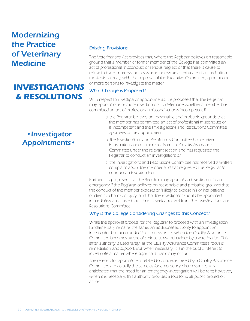# **INVESTIGATIONS & RESOLUTIONS**

### •Investigator Appointments•

#### Existing Provisions

The Veterinarians Act provides that, where the Registrar believes on reasonable ground that a member or former member of the College has committed an act of professional misconduct or serious neglect or that there is cause to refuse to issue or renew or to suspend or revoke a certificate of accreditation, the Registrar may, with the approval of the Executive Committee, appoint one or more persons to investigate the matter.

#### What Change is Proposed?

With respect to investigator appointments, it is proposed that the Registrar may appoint one or more investigators to determine whether a member has committed an act of professional misconduct or is incompetent if:

- a. the Registrar believes on reasonable and probable grounds that the member has committed an act of professional misconduct or is incompetent and the Investigations and Resolutions Committee approves of the appointment;
- b. the Investigations and Resolutions Committee has received information about a member from the Quality Assurance Committee under the relevant section and has requested the Registrar to conduct an investigation; or
- c. the Investigations and Resolutions Committee has received a written complaint about the member and has requested the Registrar to conduct an investigation.

Further, it is proposed that the Registrar may appoint an investigator in an emergency if the Registrar believes on reasonable and probable grounds that the conduct of the member exposes or is likely to expose his or her patients or clients to harm or injury, and that the investigator should be appointed immediately and there is not time to seek approval from the Investigations and Resolutions Committee.

#### Why is the College Considering Changes to this Concept?

While the approval process for the Registrar to proceed with an investigation fundamentally remains the same, an additional authority to appoint an investigator has been added for circumstances when the Quality Assurance Committee becomes aware of serious at-risk behaviour by a veterinarian. This latter authority is used rarely, as the Quality Assurance Committee's focus is remediation and support. But when necessary, it is in the public interest to investigate a matter where significant harm may occur.

The reasons for appointment related to concerns raised by a Quality Assurance Committee are actually the same as for emergency circumstances. It is anticipated that the need for an emergency investigation will be rare; however, when it is necessary, this authority provides a tool for swift public protection action.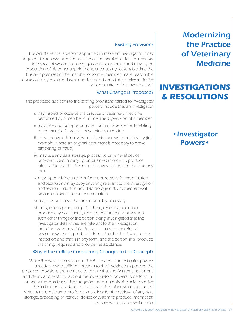### **INVESTIGATIONS & RESOLUTIONS**

### •Investigator Powers•

#### Existing Provisions

The Act states that a person appointed to make an investigation "may inquire into and examine the practice of the member or former member in respect of whom the investigation is being made and may, upon production of his or her appointment, enter at any reasonable time the business premises of the member or former member, make reasonable inquiries of any person and examine documents and things relevant to the subject-matter of the investigation."

#### What Change is Proposed?

The proposed additions to the existing provisions related to investigator powers include that an investigator:

- i. may inspect or observe the practice of veterinary medicine performed by a member or under the supervision of a member
- ii. may take photographs or make audio or video records relating to the member's practice of veterinary medicine
- iii. may remove original versions of evidence where necessary (for example, where an original document is necessary to prove tampering or fraud)
- iv. may use any data storage, processing or retrieval device or system used in carrying on business in order to produce information that is relevant to the investigation and that is in any form
- v. may, upon giving a receipt for them, remove for examination and testing and may copy anything relevant to the investigation and testing, including any data storage disk or other retrieval device in order to produce information
- vi. may conduct tests that are reasonably necessary
- vii. may, upon giving receipt for them, require a person to produce any documents, records, equipment, supplies and such other things of the person being investigated that the investigator determines are relevant to the investigation, including using any data storage, processing or retrieval device or system to produce information that is relevant to the inspection and that is in any form, and the person shall produce the things required and provide the assistance.

#### Why is the College Considering Changes to this Concept?

While the existing provisions in the Act related to investigator powers already provide sufficient breadth to the investigator's powers, the proposed provisions are intended to ensure that the Act remains current, and clearly and explicitly lays out the investigator's powers to perform his or her duties effectively. The suggested amendments also acknowledge the technological advances that have taken place since the current Veterinarians Act came into force, and allow for the retrieval of any data storage, processing or retrieval device or system to produce information that is relevant to an investigation.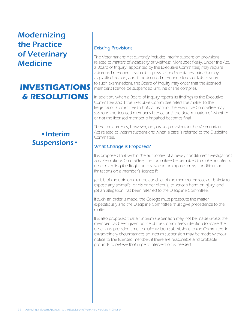# **INVESTIGATIONS & RESOLUTIONS**

### •Interim Suspensions•

#### Existing Provisions

The Veterinarians Act currently includes interim suspension provisions related to matters of incapacity or wellness. More specifically, under the Act, a Board of Inquiry (appointed by the Executive Committee) may require a licensed member to submit to physical and mental examinations by a qualified person, and if the licensed member refuses or fails to submit to such examinations, the Board of Inquiry may order that the licensed member's licence be suspended until he or she complies.

In addition, when a Board of Inquiry reports its findings to the Executive Committee and if the Executive Committee refers the matter to the Registration Committee to hold a hearing, the Executive Committee may suspend the licensed member's licence until the determination of whether or not the licensed member is impaired becomes final.

There are currently, however, no parallel provisions in the Veterinarians Act related to interim suspensions when a case is referred to the Discipline Committee.

#### What Change is Proposed?

It is proposed that within the authorities of a newly constituted Investigations and Resolutions Committee, the committee be permitted to make an interim order directing the Registrar to suspend or impose terms, conditions or limitations on a member's licence if:

(a) it is of the opinion that the conduct of the member exposes or is likely to expose any animal(s) or his or her client(s) to serious harm or injury; and (b) an allegation has been referred to the Discipline Committee.

If such an order is made, the College must prosecute the matter expeditiously and the Discipline Committee must give precedence to the matter.

It is also proposed that an interim suspension may not be made unless the member has been given notice of the Committee's intention to make the order and provided time to make written submissions to the Committee. In extraordinary circumstances an interim suspension may be made without notice to the licensed member, if there are reasonable and probable grounds to believe that urgent intervention is needed.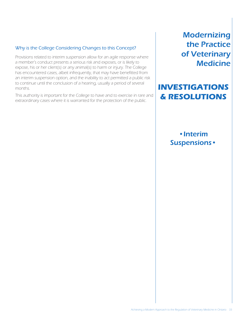#### Why is the College Considering Changes to this Concept?

Provisions related to interim suspension allow for an agile response where a member's conduct presents a serious risk and exposes, or is likely to expose, his or her client(s) or any animal(s) to harm or injury. The College has encountered cases, albeit infrequently, that may have benefitted from an interim suspension option, and the inability to act permitted a public risk to continue until the conclusion of a hearing, usually a period of several months.

This authority is important for the College to have and to exercise in rare and extraordinary cases where it is warranted for the protection of the public.

**Modernizing** the Practice of Veterinary **Medicine** 

### **INVESTIGATIONS & RESOLUTIONS**

### •Interim Suspensions•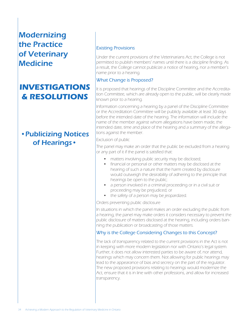# **INVESTIGATIONS & RESOLUTIONS**

### •Publicizing Notices of Hearings•

#### Existing Provisions

Under the current provisions of the Veterinarians Act, the College is not permitted to publish members' names until there is a discipline finding. As a result, the College cannot publicize a notice of hearing, nor a member's name prior to a hearing.

#### What Change is Proposed?

It is proposed that hearings of the Discipline Committee and the Accreditation Committee, which are already open to the public, will be clearly made known prior to a hearing.

Information concerning a hearing by a panel of the Discipline Committee or the Accreditation Committee will be publicly available at least 30 days before the intended date of the hearing. The information will include the name of the member against whom allegations have been made, the intended date, time and place of the hearing and a summary of the allegations against the member.

#### Exclusion of public

The panel may make an order that the public be excluded from a hearing or any part of it if the panel is satisfied that:

- matters involving public security may be disclosed;
- financial or personal or other matters may be disclosed at the hearing of such a nature that the harm created by disclosure would outweigh the desirability of adhering to the principle that hearings be open to the public;
- a person involved in a criminal proceeding or in a civil suit or proceeding may be prejudiced; or
- the safety of a person may be jeopardized.

#### Orders preventing public disclosure

In situations in which the panel makes an order excluding the public from a hearing, the panel may make orders it considers necessary to prevent the public disclosure of matters disclosed at the hearing, including orders banning the publication or broadcasting of those matters.

#### Why is the College Considering Changes to this Concept?

The lack of transparency related to the current provisions in the Act is not in keeping with more modern legislation nor with Ontario's legal system. Further, it does not allow interested parties to be aware of, nor attend, hearings which may concern them. Not allowing for public hearings may lead to the appearance of bias and secrecy on the part of the regulator. The new proposed provisions relating to hearings would modernize the Act, ensure that it is in line with other professions, and allow for increased transparency.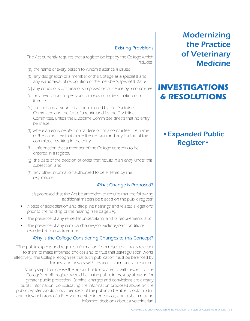#### Existing Provisions

The Act currently requires that a register be kept by the College which includes:

- (a) the name of every person to whom a licence is issued;
- (b) any designation of a member of the College as a specialist and any withdrawal of recognition of the member's specialist status;
- (c) any conditions or limitations imposed on a licence by a committee;
- (d) any revocation, suspension, cancellation or termination of a licence;
- (e) the fact and amount of a fine imposed by the Discipline Committee and the fact of a reprimand by the Discipline Committee, unless the Discipline Committee directs that no entry be made;
- (f) where an entry results from a decision of a committee, the name of the committee that made the decision and any finding of the committee resulting in the entry;
- (f.1) information that a member of the College consents to be entered in a register;
- (g) the date of the decision or order that results in an entry under this subsection; and
- (h) any other information authorized to be entered by the regulations.

#### What Change is Proposed?

It is proposed that the Act be amended to require that the following additional matters be placed on the public register:

- Notice of accreditation and discipline hearings and related allegations prior to the holding of the hearing (see page 34),
- The presence of any remedial undertaking, and its requirements, and
- The presence of any criminal charges/convictions/bail conditions reported at annual licensure

#### Why is the College Considering Changes to this Concept?

TThe public expects and requires information from regulators that is relevant to them to make informed choices and to trust that self-regulation works effectively. The College recognizes that such publication must be balanced by fairness and privacy with respect to members as required.

Taking steps to increase the amount of transparency with respect to the College's public register would be in the public interest by allowing for greater public protection. Criminal charges and convictions are already public information. Consolidating the information proposed above on the public register would allow members of the public to be able to obtain a full and relevant history of a licensed member in one place, and assist in making informed decisions about a veterinarian

**Modernizing** the Practice of Veterinary **Medicine** 

### **INVESTIGATIONS & RESOLUTIONS**

### •Expanded Public Register•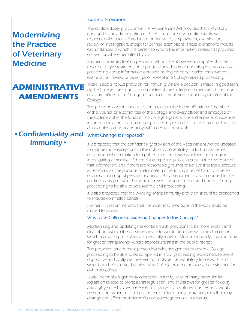# **ADMINISTRATIVE AMENDMENTS**

### •Confidentiality and Immunity•

#### Existing Provisions

The confidentiality provisions in the Veterinarians Act provides that individuals engaged in the administration of the Act must preserve confidentiality with respect to all matters related to his or her duties, employment, examination, review or investigation, except for defined exemptions. These exemptions include circumstances in which the person to whom the information relates has provided consent or where permitted by law.

Further, it provides that no person to whom the above section applies shall be required to give testimony or to produce any document or thing in any action or proceeding about information obtained during his or her duties, employment, examination, review or investigation except in a College-related proceeding.

There is also a robust provision for immunity where a decision is made in good faith by the College, the Council, a committee of the College or a member of the Council or a committee of the College, or an officer, employee, agent or appointee of the College.

The provisions also include a section related to the indemnification of members of the Council or a committee of the College and every officer and employee of the College out of the funds of the College against all costs, charges and expenses incurred in relation to an action or proceeding related to the execution of his or her duties unless brought about by willful neglect or default.

#### What Change is Proposed?

It is proposed that the confidentiality provision of the Veterinarians Act be updated to include more exceptions to the duty of confidentiality, including disclosure of confidential information to a police officer, to advise whether the College is investigating a member, if there is a compelling public interest in the disclosure of that information, and if there are reasonable grounds to believe that the disclosure is necessary for the purpose of eliminating or reducing a risk of harm to a person or animal or group of persons or animals. An amendment is also proposed to the confidentiality provision that would prevent evidence generated under a College proceeding to be able to be used in a civil proceeding.

It is also proposed that the wording of the immunity provision should be broadened to include committee panels.

Further, it is recommended that the indemnity provisions in the Act should be moved to by-law

#### Why is the College Considering Changes to this Concept?

Modernizing and updating the confidentiality provisions to be more explicit and clear about whom the provisions relate to would be in line with the direction in which regulated professions are generally moving. More importantly, it would allow for greater transparency where appropriate and in the public interest.

The proposed amendment preventing evidence generated under a College proceeding to be able to be compelled in a civil proceeding would help to avoid duplicative and costly civil proceedings outside the regulatory framework, and would also help to avoid parties using College proceedings to gather evidence for civil proceedings.

Lastly, indemnity is generally addressed in the by-laws of many other similar legislation related to professional regulation, and this allows for greater flexibility and agility since by-laws are easier to change than statutes. This flexibility would be important when accounting for terms of third-party insurance plans that may change and affect the indemnification coverage set out in a statute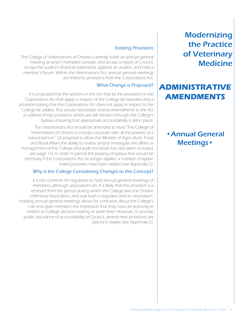### **ADMINISTRATIVE AMENDMENTS**

### •Annual General Meetings•

#### Existing Provisions

The College of Veterinarians of Ontario currently holds an annual general meeting at which members consider and accept a report of Council, accept the auditor's financial statements, appoint an auditor, and hold a member's forum. Within the Veterinarians Act, annual general meetings are linked to provisions from the Corporations Act.

#### What Change is Proposed?

It is proposed that the sections in the Act that list the provisions in the Corporations Act that apply in respect of the College be repealed and a provision stating that the Corporations Act does not apply in respect to the College be added. This would necessitate several amendments to the Act to address those provisions which are still relevant through the College's bylaws, ensuring that appropriate accountability is still in place.

The Veterinarians Act should be amended to read "The College of Veterinarians of Ontario is a body corporate with all the powers of a natural person." (A proposal to allow the Minister of Agriculture, Food and Rural Affairs the ability to review and/or investigate the affairs or management of the College and audit the books has also been included, see page 15). In order to permit the passing of bylaws that would be necessary if the Corporations Act no longer applies, a number of bylawmaking powers have been added (see Appendix C).

#### Why is the College Considering Changes to this Concept?

It is not common for regulators to hold annual general meetings of members, although associations do. It is likely that this provision is a remnant from the period during which the College was the Ontario Veterinary Association, and was both a regulator and an association. Holding annual general meetings allows for confusion about the College's role and gives members the impression that they have an authority in relation to College decision-making at some level. However, to provide public assurance of accountability of Council, several new provisions are placed in bylaw (see Appendix C).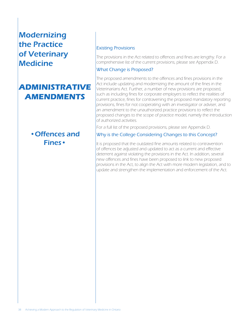# **ADMINISTRATIVE AMENDMENTS**

### •Offences and Fines•

#### Existing Provisions

The provisions in the Act related to offences and fines are lengthy. For a comprehensive list of the current provisions, please see Appendix D.

#### What Change is Proposed?

The proposed amendments to the offences and fines provisions in the Act include updating and modernizing the amount of the fines in the Veterinarians Act. Further, a number of new provisions are proposed, such as including fines for corporate employers to reflect the realities of current practice, fines for contravening the proposed mandatory reporting provisions, fines for not cooperating with an investigator or adviser, and an amendment to the unauthorized practice provisions to reflect the proposed changes to the scope of practice model, namely the introduction of authorized activities.

For a full list of the proposed provisions, please see Appendix D.

#### Why is the College Considering Changes to this Concept?

It is proposed that the outdated fine amounts related to contravention of offences be adjusted and updated to act as a current and effective deterrent against violating the provisions in the Act. In addition, several new offences and fines have been proposed to link to new proposed provisions in the Act, to align the Act with more modern legislation, and to update and strengthen the implementation and enforcement of the Act.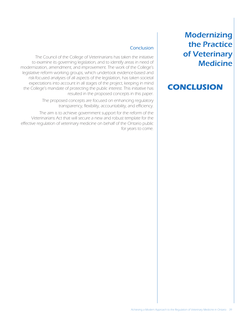### **CONCLUSION**

#### Conclusion

The Council of the College of Veterinarians has taken the initiative to examine its governing legislation, and to identify areas in need of modernization, amendment, and improvement. The work of the College's legislative reform working groups, which undertook evidence-based and risk-focused analyses of all aspects of the legislation, has taken societal expectations into account in all stages of the project, keeping in mind the College's mandate of protecting the public interest. This initiative has resulted in the proposed concepts in this paper.

> The proposed concepts are focused on enhancing regulatory transparency, flexibility, accountability, and efficiency.

The aim is to achieve government support for the reform of the Veterinarians Act that will secure a new and robust template for the effective regulation of veterinary medicine on behalf of the Ontario public for years to come.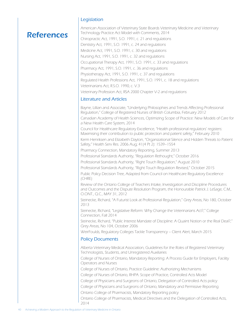#### Legislation

### References

American Association of Veterinary State Boards Veterinary Medicine and Veterinary Technology Practice Act Model with Comments, 2014 Chiropractic Act, 1991, S.O. 1991, c. 21 and regulations Dentistry Act, 1991, S.O. 1991, c. 24 and regulations Medicine Act, 1991, S.O. 1991, c. 30 and regulations Nursing Act, 1991, S.O. 1991, c. 32 and regulations Occupational Therapy Act, 1991, S.O. 1991, c. 33 and regulations Pharmacy Act, 1991, S.O. 1991, c. 36 and regulations Physiotherapy Act, 1991, S.O. 1991, c. 37 and regulations Regulated Health Professions Act, 1991, S.O. 1991, c. 18 and regulations Veterinarians Act, R.S.O. 1990, c. V.3 Veterinary Profession Act, RSA 2000 Chapter V-2 and regulations

#### Literature and Articles

Bayne, Lillian and Associate, "Underlying Philosophies and Trends Affecting Professional Regulation," College of Registered Nurses of British Columbia, February 2012 Canadian Academy of Health Sciences, Optimizing Scope of Practice: New Models of Care for a New Health Care System, 2014

Council for Healthcare Regulatory Excellence, "Health professional regulators' registers: Maximising their contribution to public protection and patient safety," February 2010

Kerm Henriksen and Elizabeth Dayton, "Organizational Silence and Hidden Threats to Patient Safety," Health Serv Res. 2006 Aug; 41(4 Pt 2): 1539–1554

Pharmacy Connection, Mandatory Reporting, Summer 2013

Professional Standards Authority, "Regulation Rethought," October 2016

Professional Standards Authority, "Right Touch Regulation," August 2010

Professional Standards Authority, "Right Touch Regulation Revised," October 2015

Public Policy Decision Tree, Adapted from Council on Healthcare Regulatory Excellence (CHRE)

Review of the Ontario College of Teachers Intake, Investigation and Discipline Procedures and Outcomes and the Dispute Resolution Program, the Honourable Patrick J. LeSage, C.M., O.ONT., Q.C., MAY 31, 2012

Steinecke, Richard, "A Futurist Look at Professional Regulation," Grey Areas, No 180, October 2013

Steinecke, Richard, "Legislative Reform: Why Change the Veterinarians Act?," College Connection, Fall 2014

Steinecke, Richard, "Public Interest Mandate of Discipline: A Quaint Notion or the Real Deal?," Grey Areas, No 104, October 2006

WeirFoulds, Regulatory Colleges Tackle Transparency – Client Alert, March 2015

#### Policy Documents

Alberta Veterinary Medical Association, Guidelines for the Roles of Registered Veterinary Technologists, Students, and Unregistered Auxiliaries

College of Nurses of Ontario, Mandatory Reporting: A Process Guide for Employers, Facility Operators and Nurses

College of Nurses of Ontario, Practice Guideline: Authorizing Mechanisms

College of Nurses of Ontario, RHPA: Scope of Practice, Controlled Acts Model

College of Physicians and Surgeons of Ontario, Delegation of Controlled Acts policy

College of Physicians and Surgeons of Ontario, Mandatory and Permissive Reporting

Ontario College of Pharmacists, Mandatory Reporting policy

Ontario College of Pharmacists, Medical Directives and the Delegation of Controlled Acts, 2014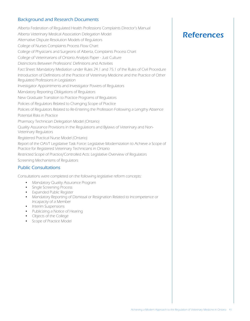#### Background and Research Documents

Alberta Federation of Regulated Health Professions Complaints Director's Manual Alberta Veterinary Medical Association Delegation Model Alternative Dispute Resolution Models of Regulators College of Nurses Complaints Process Flow Chart College of Physicians and Surgeons of Alberta, Complaints Process Chart College of Veterinarians of Ontario Analysis Paper - Just Culture Distinctions Between Professions' Definitions and Activities Fact Sheet: Mandatory Mediation under Rules 24.1 and 75.1 of the Rules of Civil Procedure Introduction of Definitions of the Practice of Veterinary Medicine and the Practice of Other Regulated Professions in Legislation Investigator Appointments and Investigator Powers of Regulators Mandatory Reporting Obligations of Regulators New Graduate Transition to Practice Programs of Regulators Policies of Regulators Related to Changing Scope of Practice Policies of Regulators Related to Re-Entering the Profession Following a Lengthy Absence Potential Risks in Practice Pharmacy Technician Delegation Model (Ontario) Quality Assurance Provisions in the Regulations and Bylaws of Veterinary and Non-Veterinary Regulators Registered Practical Nurse Model (Ontario) Report of the OAVT Legislative Task Force: Legislative Modernization to Achieve a Scope of Practice for Registered Veterinary Technicians in Ontario Restricted Scope of Practice/Controlled Acts: Legislative Overview of Regulators Screening Mechanisms of Regulators

#### Public Consultations

Consultations were completed on the following legislative reform concepts:

- Mandatory Quality Assurance Program
- Single Screening Process
- • Expanded Public Register
- Mandatory Reporting of Dismissal or Resignation Related to Incompetence or Incapacity of a Member
- Interim Suspensions
- Publicizing a Notice of Hearing
- • Objects of the College
- Scope of Practice Model

### References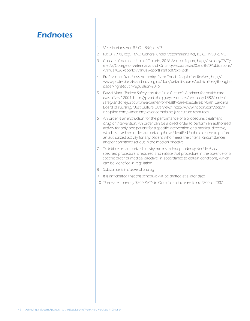### **Endnotes**

- 1 Veterinarians Act, R.S.O. 1990, c. V.3
- 2 R.R.O. 1990, Reg. 1093: General under Veterinarians Act, R.S.O. 1990, c. V.3
- 3 College of Veterinarians of Ontario, 2016 Annual Report, http://cvo.org/CVO/ media/College-of-Veterinarians-of-Ontario/Resources%20and%20Publications/ Annual%20Reports/AnnualReportFinal.pdf?ext=.pdf
- 4 Professional Standards Authority, Right-Touch Regulation Revised, http:// www.professionalstandards.org.uk/docs/default-source/publications/thoughtpaper/right-touch-regulation-2015
- 5 David Marx, "Patient Safety and the "Just Culture": A primer for health care executives," 2001, https://psnet.ahrq.gov/resources/resource/1582/patientsafety-and-the-just-culture-a-primer-for-health-care-executives; North Carolina Board of Nursing, "Just Culture Overview," http://www.ncbon.com/dcp/i/ discipline-compliance-employer-complaints-just-culture-resources
- 6 An order is an instruction for the performance of a procedure, treatment, drug or intervention. An order can be a direct order to perform an authorized activity for only one patient for a specific intervention or a medical directive, which is a written order authorizing those identified in the directive to perform an authorized activity for any patient who meets the criteria, circumstances, and/or conditions set out in the medical directive.
- 7 To initiate an authorized activity means to independently decide that a specified procedure is required and initiate that procedure in the absence of a specific order or medical directive, in accordance to certain conditions, which can be identified in regulation
- 8 Substance is inclusive of a drug
- 9 It is anticipated that this schedule will be drafted at a later date
- 10 There are currently 3200 RVT's in Ontario, an increase from 1200 in 2007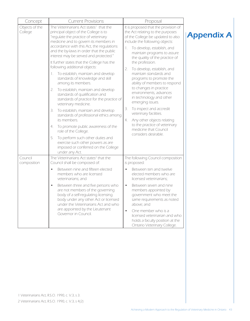| Concept                                                                                                                                                                                      | <b>Current Provisions</b>                                                                                                                                                                                                                                                                                                                                                                                                                                                                                                                                                           | Proposal                                                                                                                            |                   |
|----------------------------------------------------------------------------------------------------------------------------------------------------------------------------------------------|-------------------------------------------------------------------------------------------------------------------------------------------------------------------------------------------------------------------------------------------------------------------------------------------------------------------------------------------------------------------------------------------------------------------------------------------------------------------------------------------------------------------------------------------------------------------------------------|-------------------------------------------------------------------------------------------------------------------------------------|-------------------|
| Objects of the<br>College                                                                                                                                                                    | The Veterinarians Act states <sup>1</sup> that the<br>It is proposed that the provision of<br>principal object of the College is to<br>the Act relating to the purposes<br>"regulate the practice of veterinary<br>of the College be updated to also<br>include the following objects:<br>medicine and to govern its members in<br>accordance with this Act, the regulations<br>To develop, establish, and<br>$\mathbb{1}$ .<br>and the by-laws in order that the public<br>maintain programs to assure<br>interest may be served and protected."<br>the quality of the practice of |                                                                                                                                     | <b>Appendix A</b> |
|                                                                                                                                                                                              |                                                                                                                                                                                                                                                                                                                                                                                                                                                                                                                                                                                     |                                                                                                                                     |                   |
|                                                                                                                                                                                              | It further states that the College has the<br>following additional objects:                                                                                                                                                                                                                                                                                                                                                                                                                                                                                                         | the profession.<br>2.<br>To develop, establish, and                                                                                 |                   |
|                                                                                                                                                                                              | To establish, maintain and develop<br>L.<br>standards of knowledge and skill<br>among its members.                                                                                                                                                                                                                                                                                                                                                                                                                                                                                  | maintain standards and<br>programs to promote the<br>ability of members to respond                                                  |                   |
|                                                                                                                                                                                              | To establish, maintain and develop<br>2.<br>standards of qualification and<br>standards of practice for the practice of<br>veterinary medicine.                                                                                                                                                                                                                                                                                                                                                                                                                                     | to changes in practice<br>environments, advances<br>in technology and other<br>emerging issues.                                     |                   |
|                                                                                                                                                                                              | To establish, maintain and develop<br>З.<br>standards of professional ethics among<br>its members.                                                                                                                                                                                                                                                                                                                                                                                                                                                                                  | To inspect and accredit<br>3.<br>veterinary facilities.<br>Any other objects relating<br>4.                                         |                   |
|                                                                                                                                                                                              | To promote public awareness of the<br>4.<br>role of the College.                                                                                                                                                                                                                                                                                                                                                                                                                                                                                                                    | to the practice of veterinary<br>medicine that Council                                                                              |                   |
|                                                                                                                                                                                              | To perform such other duties and<br>5.<br>exercise such other powers as are<br>imposed or conferred on the College<br>under any Act.                                                                                                                                                                                                                                                                                                                                                                                                                                                | considers desirable.                                                                                                                |                   |
| Council<br>composition                                                                                                                                                                       | The Veterinarians Act states <sup>2</sup> that the<br>Council shall be composed of:                                                                                                                                                                                                                                                                                                                                                                                                                                                                                                 | The following Council composition<br>is proposed:                                                                                   |                   |
|                                                                                                                                                                                              | Between nine and fifteen elected<br>members who are licensed<br>veterinarians; and                                                                                                                                                                                                                                                                                                                                                                                                                                                                                                  | Between ten and twelve<br>elected members who are<br>licensed veterinarians;                                                        |                   |
| Between three and five persons who<br>are not members of the governing<br>body of a self-regulating licensing<br>body under any other Act or licensed<br>under the Veterinarians Act and who | Between seven and nine<br>$\bullet$<br>members appointed by<br>government who meet the<br>same requirements as noted<br>above; and                                                                                                                                                                                                                                                                                                                                                                                                                                                  |                                                                                                                                     |                   |
|                                                                                                                                                                                              | are appointed by the Lieutenant<br>Governor in Council.                                                                                                                                                                                                                                                                                                                                                                                                                                                                                                                             | One member who is a<br>$\bullet$<br>licensed veterinarian and who<br>holds a faculty position at the<br>Ontario Veterinary College. |                   |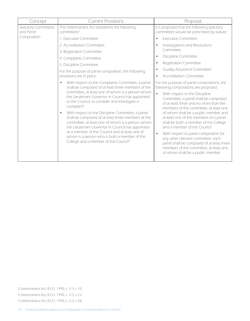| Concept                                  | <b>Current Provisions</b>                                                                                                                                                                                                                                                                                                                                                                                                                                                                                                                                                                                                                                               | Proposal                                                                                                                                                                                                                                                                                                                                                                                                                                                                                                                                                                                                                                         |
|------------------------------------------|-------------------------------------------------------------------------------------------------------------------------------------------------------------------------------------------------------------------------------------------------------------------------------------------------------------------------------------------------------------------------------------------------------------------------------------------------------------------------------------------------------------------------------------------------------------------------------------------------------------------------------------------------------------------------|--------------------------------------------------------------------------------------------------------------------------------------------------------------------------------------------------------------------------------------------------------------------------------------------------------------------------------------------------------------------------------------------------------------------------------------------------------------------------------------------------------------------------------------------------------------------------------------------------------------------------------------------------|
| <b>Statutory Committees</b><br>and Panel | The Veterinarians Act establishes the following<br>committees <sup>3</sup> :                                                                                                                                                                                                                                                                                                                                                                                                                                                                                                                                                                                            | It is proposed that the following statutory<br>committees would be prescribed by statute:                                                                                                                                                                                                                                                                                                                                                                                                                                                                                                                                                        |
| Composition                              | 1. Executive Committee.                                                                                                                                                                                                                                                                                                                                                                                                                                                                                                                                                                                                                                                 | <b>Executive Committee</b><br>$\bullet$                                                                                                                                                                                                                                                                                                                                                                                                                                                                                                                                                                                                          |
|                                          | 2. Accreditation Committee.                                                                                                                                                                                                                                                                                                                                                                                                                                                                                                                                                                                                                                             | Investigations and Resolutions<br>$\bullet$                                                                                                                                                                                                                                                                                                                                                                                                                                                                                                                                                                                                      |
|                                          | 3. Registration Committee.                                                                                                                                                                                                                                                                                                                                                                                                                                                                                                                                                                                                                                              | Committee                                                                                                                                                                                                                                                                                                                                                                                                                                                                                                                                                                                                                                        |
|                                          | 4. Complaints Committee.                                                                                                                                                                                                                                                                                                                                                                                                                                                                                                                                                                                                                                                | <b>Discipline Committee</b>                                                                                                                                                                                                                                                                                                                                                                                                                                                                                                                                                                                                                      |
|                                          | 5. Discipline Committee.                                                                                                                                                                                                                                                                                                                                                                                                                                                                                                                                                                                                                                                | Registration Committee<br>$\bullet$                                                                                                                                                                                                                                                                                                                                                                                                                                                                                                                                                                                                              |
|                                          | For the purpose of panel composition, the following                                                                                                                                                                                                                                                                                                                                                                                                                                                                                                                                                                                                                     | <b>Quality Assurance Committee</b><br>$\bullet$                                                                                                                                                                                                                                                                                                                                                                                                                                                                                                                                                                                                  |
|                                          | provisions are in place:                                                                                                                                                                                                                                                                                                                                                                                                                                                                                                                                                                                                                                                | <b>Accreditation Committee</b><br>$\bullet$                                                                                                                                                                                                                                                                                                                                                                                                                                                                                                                                                                                                      |
|                                          | With respect to the Complaints Committee, a panel<br>shall be composed of at least three members of the<br>committee, at least one of whom is a person whom<br>the Lieutenant Governor in Council has appointed<br>to the Council, to consider and investigate a<br>complaint <sup>4</sup> .<br>With respect to the Discipline Committee, a panel<br>shall be composed of at least three members of the<br>committee, at least one of whom is a person whom<br>the Lieutenant Governor in Council has appointed<br>as a member of the Council and at least one of<br>whom is a person who is both a member of the<br>College and a member of the Council <sup>5</sup> . | For the purpose of panel compositions, the<br>following compositions are proposed:<br>$\bullet$<br>With respect to the Discipline<br>Committee, a panel shall be composed<br>of at least three and no more than five<br>members of the committee, at least one<br>of whom shall be a public member and<br>at least one of the members of a panel<br>shall be both a member of the College<br>and a member of the Council.<br>With respect to panel composition for<br>$\bullet$<br>any other relevant committee, each<br>panel shall be composed of at least three<br>members of the committee, at least one<br>of whom shall be a public member |

5 Veterinarians Act, R.S.O. 1990, c. V.3, s 28.

<sup>4</sup> Veterinarians Act, R.S.O. 1990, c. V.3, s 23.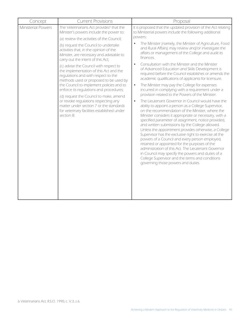| <b>Current Provisions</b>                                                                                                                                                                                                                                                                                                                                                                                                   | Proposal                                                                                                                                                                                                                                                                                                                                                                                                                                                                                                                                                                                                                                                                                                                                                                 |                                                                                                                                                                                    |
|-----------------------------------------------------------------------------------------------------------------------------------------------------------------------------------------------------------------------------------------------------------------------------------------------------------------------------------------------------------------------------------------------------------------------------|--------------------------------------------------------------------------------------------------------------------------------------------------------------------------------------------------------------------------------------------------------------------------------------------------------------------------------------------------------------------------------------------------------------------------------------------------------------------------------------------------------------------------------------------------------------------------------------------------------------------------------------------------------------------------------------------------------------------------------------------------------------------------|------------------------------------------------------------------------------------------------------------------------------------------------------------------------------------|
| The Veterinarians Act provides <sup>6</sup> that the<br>Minister's powers include the power to:                                                                                                                                                                                                                                                                                                                             | It is proposed that the updated provision of the Act relating<br>to Ministerial powers include the following additional                                                                                                                                                                                                                                                                                                                                                                                                                                                                                                                                                                                                                                                  |                                                                                                                                                                                    |
| (a) review the activities of the Council;                                                                                                                                                                                                                                                                                                                                                                                   | powers:                                                                                                                                                                                                                                                                                                                                                                                                                                                                                                                                                                                                                                                                                                                                                                  |                                                                                                                                                                                    |
| (b) request the Council to undertake<br>activities that, in the opinion of the<br>Minister, are necessary and advisable to<br>carry out the intent of this Act;<br>(c) advise the Council with respect to<br>the implementation of this Act and the<br>regulations and with respect to the<br>methods used or proposed to be used by<br>the Council to implement policies and to<br>enforce its regulations and procedures; |                                                                                                                                                                                                                                                                                                                                                                                                                                                                                                                                                                                                                                                                                                                                                                          | The Minister (namely, the Minister of Agriculture, Food<br>and Rural Affairs) may review and/or investigate the<br>affairs or management of the College and audit its<br>finances. |
|                                                                                                                                                                                                                                                                                                                                                                                                                             | Consultation with the Minister and the Minister<br>$\bullet$<br>of Advanced Education and Skills Development is<br>required before the Council establishes or amends the<br>academic qualifications of applicants for licensure.                                                                                                                                                                                                                                                                                                                                                                                                                                                                                                                                         |                                                                                                                                                                                    |
|                                                                                                                                                                                                                                                                                                                                                                                                                             | The Minister may pay the College for expenses<br>$\bullet$<br>incurred in complying with a requirement under a<br>provision related to the Powers of the Minister.                                                                                                                                                                                                                                                                                                                                                                                                                                                                                                                                                                                                       |                                                                                                                                                                                    |
| or revoke regulations respecting any<br>matter under section 7 or the standards<br>for veterinary facilities established under<br>section 8.                                                                                                                                                                                                                                                                                | The Lieutenant Governor in Council would have the<br>$\bullet$<br>ability to appoint a person as a College Supervisor,<br>on the recommendation of the Minister, where the<br>Minister considers it appropriate or necessary, with a<br>specified parameter of assignment, notice provided,<br>and written submissions by the College allowed.<br>Unless the appointment provides otherwise, a College<br>Supervisor has the exclusive right to exercise all the<br>powers of a Council and every person employed,<br>retained or appointed for the purposes of the<br>administration of this Act. The Lieutenant Governor<br>in Council may specify the powers and duties of a<br>College Supervisor and the terms and conditions<br>governing those powers and duties. |                                                                                                                                                                                    |
|                                                                                                                                                                                                                                                                                                                                                                                                                             | (d) request the Council to make, amend                                                                                                                                                                                                                                                                                                                                                                                                                                                                                                                                                                                                                                                                                                                                   |                                                                                                                                                                                    |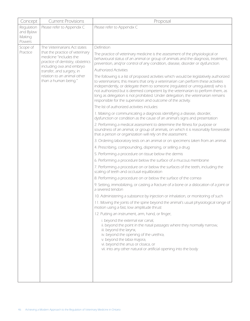| Concept                                     | <b>Current Provisions</b>                                                                                                  | Proposal                                                                                                                                                                                                                                                                                                                                                                                                                                                                                           |
|---------------------------------------------|----------------------------------------------------------------------------------------------------------------------------|----------------------------------------------------------------------------------------------------------------------------------------------------------------------------------------------------------------------------------------------------------------------------------------------------------------------------------------------------------------------------------------------------------------------------------------------------------------------------------------------------|
| Regulation<br>and Bylaw<br>Making<br>Powers | Please refer to Appendix C                                                                                                 | Please refer to Appendix C                                                                                                                                                                                                                                                                                                                                                                                                                                                                         |
| Scope of                                    | The Veterinarians Act states                                                                                               | Definition                                                                                                                                                                                                                                                                                                                                                                                                                                                                                         |
| Practice                                    | that the practice of veterinary<br>medicine "includes the<br>practice of dentistry, obstetrics<br>including ova and embryo | The practice of veterinary medicine is the assessment of the physiological or<br>behavioural status of an animal or group of animals and the diagnosis, treatment,<br>prevention, and/or control of any condition, disease, disorder or dysfunction.                                                                                                                                                                                                                                               |
|                                             | transfer, and surgery, in                                                                                                  | <b>Authorized Activities</b>                                                                                                                                                                                                                                                                                                                                                                                                                                                                       |
|                                             | relation to an animal other<br>than a human being."                                                                        | The following is a list of proposed activities which would be legislatively authorized<br>to veterinarians; this means that only a veterinarian can perform these activities<br>independently, or delegate them to someone (regulated or unregulated) who is<br>not authorized but is deemed competent by the veterinarian to perform them, as<br>long as delegation is not prohibited. Under delegation, the veterinarian remains<br>responsible for the supervision and outcome of the activity. |
|                                             |                                                                                                                            | The list of authorized activities includes:                                                                                                                                                                                                                                                                                                                                                                                                                                                        |
|                                             |                                                                                                                            | 1. Making or communicating a diagnosis identifying a disease, disorder,<br>dysfunction or condition as the cause of an animal's signs and presentation                                                                                                                                                                                                                                                                                                                                             |
|                                             |                                                                                                                            | 2. Performing a medical assessment to determine the fitness for purpose or<br>soundness of an animal, or group of animals, on which it is reasonably foreseeable<br>that a person or organization will rely on the assessment.                                                                                                                                                                                                                                                                     |
|                                             |                                                                                                                            | 3. Ordering laboratory tests on an animal or on specimens taken from an animal.                                                                                                                                                                                                                                                                                                                                                                                                                    |
|                                             |                                                                                                                            | 4. Prescribing, compounding, dispensing, or selling a drug                                                                                                                                                                                                                                                                                                                                                                                                                                         |
|                                             |                                                                                                                            | 5. Performing a procedure on tissue below the dermis                                                                                                                                                                                                                                                                                                                                                                                                                                               |
|                                             |                                                                                                                            | 6. Performing a procedure below the surface of a mucous membrane                                                                                                                                                                                                                                                                                                                                                                                                                                   |
|                                             |                                                                                                                            | 7. Performing a procedure on or below the surfaces of the teeth, including the<br>scaling of teeth and occlusal equilibration                                                                                                                                                                                                                                                                                                                                                                      |
|                                             |                                                                                                                            | 8. Performing a procedure on or below the surface of the cornea                                                                                                                                                                                                                                                                                                                                                                                                                                    |
|                                             |                                                                                                                            | 9. Setting, immobilizing, or casting a fracture of a bone or a dislocation of a joint or<br>a severed tendon                                                                                                                                                                                                                                                                                                                                                                                       |
|                                             | motion using a fast, low amplitude thrust                                                                                  | 10. Administering a substance by injection or inhalation, or monitoring of such                                                                                                                                                                                                                                                                                                                                                                                                                    |
|                                             |                                                                                                                            | 11. Moving the joints of the spine beyond the animal's usual physiological range of                                                                                                                                                                                                                                                                                                                                                                                                                |
|                                             |                                                                                                                            | 12. Putting an instrument, arm, hand, or finger,                                                                                                                                                                                                                                                                                                                                                                                                                                                   |
|                                             |                                                                                                                            | i. beyond the external ear canal,<br>ii. beyond the point in the nasal passages where they normally narrow,<br>iii. beyond the larynx,<br>iv. beyond the opening of the urethra,<br>v. beyond the labia majora,<br>vi. beyond the anus or cloaca, or<br>vii. into any other natural or artificial opening into the body                                                                                                                                                                            |
|                                             |                                                                                                                            |                                                                                                                                                                                                                                                                                                                                                                                                                                                                                                    |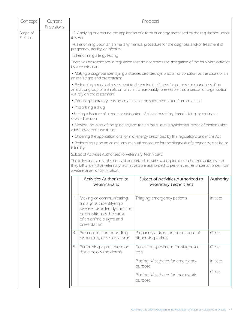| Concept              | Current<br>Provisions |                                                                                                                                                                                                                                                                                                                              |                                                                                                                                                                                                                              | Proposal                                                                                               |           |
|----------------------|-----------------------|------------------------------------------------------------------------------------------------------------------------------------------------------------------------------------------------------------------------------------------------------------------------------------------------------------------------------|------------------------------------------------------------------------------------------------------------------------------------------------------------------------------------------------------------------------------|--------------------------------------------------------------------------------------------------------|-----------|
| Scope of<br>Practice |                       |                                                                                                                                                                                                                                                                                                                              | 13. Applying or ordering the application of a form of energy prescribed by the regulations under<br>this Act                                                                                                                 |                                                                                                        |           |
|                      |                       |                                                                                                                                                                                                                                                                                                                              | 14. Performing upon an animal any manual procedure for the diagnosis and/or treatment of<br>pregnancy, sterility, or infertility                                                                                             |                                                                                                        |           |
|                      |                       |                                                                                                                                                                                                                                                                                                                              | 15. Performing allergy testing                                                                                                                                                                                               |                                                                                                        |           |
|                      |                       |                                                                                                                                                                                                                                                                                                                              | by a veterinarian:                                                                                                                                                                                                           | There will be restrictions in regulation that do not permit the delegation of the following activities |           |
|                      |                       |                                                                                                                                                                                                                                                                                                                              | animal's signs and presentation                                                                                                                                                                                              | • Making a diagnosis identifying a disease, disorder, dysfunction or condition as the cause of an      |           |
|                      |                       |                                                                                                                                                                                                                                                                                                                              | • Performing a medical assessment to determine the fitness for purpose or soundness of an<br>animal, or group of animals, on which it is reasonably foreseeable that a person or organization<br>will rely on the assessment |                                                                                                        |           |
|                      |                       |                                                                                                                                                                                                                                                                                                                              |                                                                                                                                                                                                                              | • Ordering laboratory tests on an animal or on specimens taken from an animal                          |           |
|                      |                       |                                                                                                                                                                                                                                                                                                                              | • Prescribing a drug                                                                                                                                                                                                         |                                                                                                        |           |
|                      |                       |                                                                                                                                                                                                                                                                                                                              | severed tendon                                                                                                                                                                                                               | · Setting a fracture of a bone or dislocation of a joint or setting, immobilizing, or casting a        |           |
|                      |                       |                                                                                                                                                                                                                                                                                                                              | a fast, low amplitude thrust                                                                                                                                                                                                 | . Moving the joints of the spine beyond the animal's usual physiological range of motion using         |           |
|                      |                       |                                                                                                                                                                                                                                                                                                                              |                                                                                                                                                                                                                              | • Ordering the application of a form of energy prescribed by the regulations under this Act            |           |
|                      |                       |                                                                                                                                                                                                                                                                                                                              |                                                                                                                                                                                                                              | • Performing upon an animal any manual procedure for the diagnosis of pregnancy, sterility, or         |           |
|                      |                       | infertility<br>Subset of Activities Authorized to Veterinary Technicians<br>The following is a list of subsets of authorized activities (alongside the authorized activities that<br>they fall under) that veterinary technicians are authorized to perform, either under an order from<br>a veterinarian, or by initiation. |                                                                                                                                                                                                                              |                                                                                                        |           |
|                      |                       |                                                                                                                                                                                                                                                                                                                              |                                                                                                                                                                                                                              |                                                                                                        |           |
|                      |                       |                                                                                                                                                                                                                                                                                                                              |                                                                                                                                                                                                                              |                                                                                                        |           |
|                      |                       |                                                                                                                                                                                                                                                                                                                              |                                                                                                                                                                                                                              |                                                                                                        |           |
|                      |                       |                                                                                                                                                                                                                                                                                                                              | Activities Authorized to<br>Veterinarians                                                                                                                                                                                    | Subset of Activities Authorized to<br><b>Veterinary Technicians</b>                                    | Authority |
|                      |                       |                                                                                                                                                                                                                                                                                                                              | Making or communicating<br>a diagnosis identifying a<br>disease, disorder, dysfunction<br>or condition as the cause<br>of an animal's signs and<br>presentation                                                              | Triaging emergency patients                                                                            | Initiate  |
|                      |                       | 4.                                                                                                                                                                                                                                                                                                                           | Prescribing, compounding,<br>dispensing, or selling a drug                                                                                                                                                                   | Preparing a drug for the purpose of<br>dispensing a drug                                               | Order     |
|                      |                       | 5.                                                                                                                                                                                                                                                                                                                           | Performing a procedure on<br>tissue below the dermis                                                                                                                                                                         | Collecting specimens for diagnostic<br>tests                                                           | Order     |
|                      |                       |                                                                                                                                                                                                                                                                                                                              |                                                                                                                                                                                                                              | Placing IV catheter for emergency<br>purpose                                                           | Initiate  |
|                      |                       |                                                                                                                                                                                                                                                                                                                              |                                                                                                                                                                                                                              | Placing IV catheter for therapeutic<br>purpose                                                         | Order     |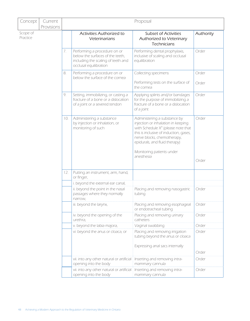| Concept              | Current<br>Provisions | Proposal |                                                                                                                                  |                                                                                                                                                                                                                       |           |  |
|----------------------|-----------------------|----------|----------------------------------------------------------------------------------------------------------------------------------|-----------------------------------------------------------------------------------------------------------------------------------------------------------------------------------------------------------------------|-----------|--|
| Scope of<br>Practice |                       |          | Activities Authorized to<br>Veterinarians                                                                                        | <b>Subset of Activities</b><br>Authorized to Veterinary<br><b>Technicians</b>                                                                                                                                         | Authority |  |
|                      |                       | 7.       | Performing a procedure on or<br>below the surfaces of the teeth,<br>including the scaling of teeth and<br>occlusal equilibration | Performing dental prophylaxis,<br>inclusive of scaling and occlusal<br>equilibration                                                                                                                                  | Order     |  |
|                      |                       | 8.       | Performing a procedure on or<br>below the surface of the cornea                                                                  | Collecting specimens                                                                                                                                                                                                  | Order     |  |
|                      |                       |          |                                                                                                                                  | Performing tests on the surface of<br>the cornea                                                                                                                                                                      | Order     |  |
|                      |                       | 9.       | Setting, immobilizing, or casting a<br>fracture of a bone or a dislocation<br>of a joint or a severed tendon                     | Applying splints and/or bandages<br>for the purpose of immobilizing a<br>fracture of a bone or a dislocation<br>of a joint                                                                                            | Order     |  |
|                      |                       | 10.      | Administering a substance<br>by injection or inhalation, or<br>monitoring of such                                                | Administering a substance by<br>injection or inhalation in keeping<br>with Schedule $X^9$ (please note that<br>this is inclusive of induction, gases,<br>nerve blocks, chemotherapy,<br>epidurals, and fluid therapy) | Order     |  |
|                      |                       |          |                                                                                                                                  | Monitoring patients under<br>anesthesia                                                                                                                                                                               | Order     |  |
|                      |                       | 12.      | Putting an instrument, arm, hand,<br>or finger,                                                                                  |                                                                                                                                                                                                                       |           |  |
|                      |                       |          | i. beyond the external ear canal,                                                                                                |                                                                                                                                                                                                                       |           |  |
|                      |                       |          | ii. beyond the point in the nasal<br>passages where they normally<br>narrow,                                                     | Placing and removing nasogastric<br>tubing                                                                                                                                                                            | Order     |  |
|                      |                       |          | iii. beyond the larynx,                                                                                                          | Placing and removing esophageal<br>or endotracheal tubing                                                                                                                                                             | Order     |  |
|                      |                       |          | iv. beyond the opening of the<br>urethra,                                                                                        | Placing and removing urinary<br>catheters                                                                                                                                                                             | Order     |  |
|                      |                       |          | v. beyond the labia majora,                                                                                                      | Vaginal swabbing                                                                                                                                                                                                      | Order     |  |
|                      |                       |          | vi. beyond the anus or cloaca, or                                                                                                | Placing and removing irrigation<br>tubing beyond the anus or cloaca                                                                                                                                                   | Order     |  |
|                      |                       |          |                                                                                                                                  | Expressing anal sacs internally                                                                                                                                                                                       | Order     |  |
|                      |                       |          | vii. into any other natural or artificial<br>opening into the body                                                               | Inserting and removing intra-<br>mammary cannula                                                                                                                                                                      | Order     |  |
|                      |                       |          | vii. into any other natural or artificial<br>opening into the body                                                               | Inserting and removing intra-<br>mammary cannula                                                                                                                                                                      | Order     |  |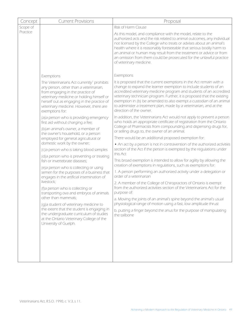| As this model, and compliance with the model, relate to the<br>authorized acts and the risk related to animal outcomes, any individual<br>not licensed by the College who treats or advises about an animal's<br>health where it is reasonably foreseeable that serious bodily harm to<br>an animal or human may result from the treatment or advice or from<br>an omission from them could be prosecuted for the unlawful practice      |
|------------------------------------------------------------------------------------------------------------------------------------------------------------------------------------------------------------------------------------------------------------------------------------------------------------------------------------------------------------------------------------------------------------------------------------------|
|                                                                                                                                                                                                                                                                                                                                                                                                                                          |
| It is proposed that the current exemptions in the Act remain with a<br>change to expand the learner exemption to include students of an<br>accredited veterinary medicine program and students of an accredited<br>veterinary technician program. Further, it is proposed that the existing<br>exemption in (b) be amended to also exempt a custodian of an animal<br>to administer a treatment plan, made by a veterinarian, and at the |
| In addition, the Veterinarians Act would not apply to prevent a person<br>who holds an appropriate certificate of registration from the Ontario<br>College of Pharmacists from compounding and dispensing drugs for,                                                                                                                                                                                                                     |
| There would be an additional proposed exemption for:                                                                                                                                                                                                                                                                                                                                                                                     |
| • An act by a person is not in contravention of the authorized activities<br>section of the Act if the person is exempted by the regulations under                                                                                                                                                                                                                                                                                       |
| This broad exemption is intended to allow for agility by allowing the<br>creation of exemptions in regulations, such as exemptions for:                                                                                                                                                                                                                                                                                                  |
| 1. A person performing an authorized activity under a delegation or                                                                                                                                                                                                                                                                                                                                                                      |
| 2. A member of the College of Chiropractors of Ontario is exempt<br>from the authorized activities section of the Veterinarians Act for the                                                                                                                                                                                                                                                                                              |
| a. Moving the joints of an animal's spine beyond the animal's usual<br>physiological range of motion using a fast, low amplitude thrust                                                                                                                                                                                                                                                                                                  |
| b. putting a finger beyond the anus for the purpose of manipulating                                                                                                                                                                                                                                                                                                                                                                      |
|                                                                                                                                                                                                                                                                                                                                                                                                                                          |
|                                                                                                                                                                                                                                                                                                                                                                                                                                          |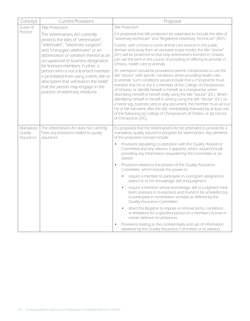| Concept                           | <b>Current Provisions</b>                                                                                                                                                                             | Proposal                                                                                                                                                                                                                                                                                                                                                                                                                                                                                                                                                                                                                                                                                                                                                                    |
|-----------------------------------|-------------------------------------------------------------------------------------------------------------------------------------------------------------------------------------------------------|-----------------------------------------------------------------------------------------------------------------------------------------------------------------------------------------------------------------------------------------------------------------------------------------------------------------------------------------------------------------------------------------------------------------------------------------------------------------------------------------------------------------------------------------------------------------------------------------------------------------------------------------------------------------------------------------------------------------------------------------------------------------------------|
| Scope of                          | <b>Title Protection</b>                                                                                                                                                                               | <b>Title Protection</b>                                                                                                                                                                                                                                                                                                                                                                                                                                                                                                                                                                                                                                                                                                                                                     |
| Practice                          | The Veterinarians Act currently<br>protects the titles of "veterinarian",                                                                                                                             | It is proposed that title protection be expanded to include the titles of<br>"veterinary technician" and "Registered Veterinary Technician" (RVT).                                                                                                                                                                                                                                                                                                                                                                                                                                                                                                                                                                                                                          |
|                                   | "vétérinaire", "veterinary surgeon",<br>and "chirurgien vétérinaire" or an<br>abbreviation or variation thereof as an<br>occupational or business designation<br>for licensed members. Further, a     | Further, with a move to some animal care services in the public<br>domain and away from an exclusive scope model, the title "doctor"<br>(Dr.) will be protected so that only veterinarians licensed in Ontario<br>can use the term in the course of providing or offering to provide, in<br>Ontario, health care to animals.                                                                                                                                                                                                                                                                                                                                                                                                                                                |
|                                   | person who is not a licensed member<br>is prohibited from using a term, title or<br>description that will lead to the belief<br>that the person may engage in the<br>practice of veterinary medicine. | An exemption would be provided to permit chiropractors to use the<br>title "doctor" with specific conditions when providing health care<br>to animals. Such conditions would include that a chiropractor must<br>mention that he or she is a member of the College of Chiropractors<br>of Ontario, or identify himself or herself as a chiropractor when<br>describing himself or herself orally using the title "doctor" (Dr.). When<br>identifying himself or herself in writing using the title "doctor" (Dr.) on<br>a name tag, business card or any document, the member must set out<br>his or her full name after the title, immediately followed by at least one<br>of the following (a) College of Chiropractors of Ontario or (b) Doctor<br>of Chiropractic (DC). |
| Mandatory<br>Quality<br>Assurance | The Veterinarians Act does not currently<br>have any provisions related to quality<br>assurance                                                                                                       | It is proposed that the Veterinarians Act be amended to provide for a<br>mandatory quality assurance program for veterinarians. Key elements<br>of the proposed concept include:                                                                                                                                                                                                                                                                                                                                                                                                                                                                                                                                                                                            |
|                                   |                                                                                                                                                                                                       | Provisions stipulating co-operation with the Quality Assurance<br>Committee and any advisors it appoints, which would include<br>providing any information requested by the Committee or an<br>advisor.                                                                                                                                                                                                                                                                                                                                                                                                                                                                                                                                                                     |
|                                   |                                                                                                                                                                                                       | Provisions related to the powers of the Quality Assurance<br>Committee, which include the power to:                                                                                                                                                                                                                                                                                                                                                                                                                                                                                                                                                                                                                                                                         |
|                                   |                                                                                                                                                                                                       | require a member to participate in a program designed to<br>assess his or her knowledge, skill and judgment                                                                                                                                                                                                                                                                                                                                                                                                                                                                                                                                                                                                                                                                 |
|                                   |                                                                                                                                                                                                       | require a member whose knowledge, skill or judgment have<br>been assessed or re-assessed, and found to be unsatisfactory,<br>to participate in remediation activities as defined by the<br><b>Quality Assurance Committee</b>                                                                                                                                                                                                                                                                                                                                                                                                                                                                                                                                               |
|                                   |                                                                                                                                                                                                       | direct the Registrar to impose or remove terms, conditions<br>$\bullet$<br>or limitations for a specified period on a member's license in<br>certain defined circumstances                                                                                                                                                                                                                                                                                                                                                                                                                                                                                                                                                                                                  |
|                                   |                                                                                                                                                                                                       | Provisions relating to the confidentiality and use of information<br>$\bullet$<br>obtained by the Quality Assurance Committee or its advisors                                                                                                                                                                                                                                                                                                                                                                                                                                                                                                                                                                                                                               |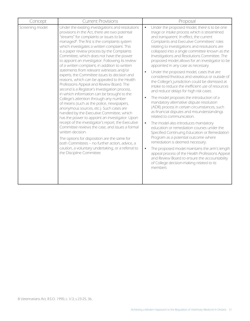| Concept         | <b>Current Provisions</b>                                                                                                                                                                                                                                                                                                                                                                                                                                                                                                                                                                                                                                                                                                                                                                                                                                                                                                                                                                                                                                                                                                                                                                                                                                                                                      | Proposal                                                                                                                                                                                                                                                                                                                                                                                                                                                                                                                                                                                                                                                                                                                                                                                                                                                                                                                                                                                                                                                                                                                                                                                                                                                                                                                                                                                                     |
|-----------------|----------------------------------------------------------------------------------------------------------------------------------------------------------------------------------------------------------------------------------------------------------------------------------------------------------------------------------------------------------------------------------------------------------------------------------------------------------------------------------------------------------------------------------------------------------------------------------------------------------------------------------------------------------------------------------------------------------------------------------------------------------------------------------------------------------------------------------------------------------------------------------------------------------------------------------------------------------------------------------------------------------------------------------------------------------------------------------------------------------------------------------------------------------------------------------------------------------------------------------------------------------------------------------------------------------------|--------------------------------------------------------------------------------------------------------------------------------------------------------------------------------------------------------------------------------------------------------------------------------------------------------------------------------------------------------------------------------------------------------------------------------------------------------------------------------------------------------------------------------------------------------------------------------------------------------------------------------------------------------------------------------------------------------------------------------------------------------------------------------------------------------------------------------------------------------------------------------------------------------------------------------------------------------------------------------------------------------------------------------------------------------------------------------------------------------------------------------------------------------------------------------------------------------------------------------------------------------------------------------------------------------------------------------------------------------------------------------------------------------------|
| Screening model | Under the existing investigations and resolutions<br>provisions in the Act, there are two potential<br>"streams" for complaints or issues to be<br>managed <sup>8</sup> . The first is the complaints system<br>which investigates a written complaint. This<br>is a paper review process by the Complaints<br>Committee, which does not have the power<br>to appoint an investigator. Following its review<br>of a written complaint, in addition to written<br>statements from relevant witnesses and/or<br>experts, the Committee issues its decision and<br>reasons, which can be appealed to the Health<br>Professions Appeal and Review Board. The<br>second is a Registrar's Investigation process,<br>in which information can be brought to the<br>College's attention through any number<br>of means (such as the police, newspapers,<br>anonymous sources, etc.). Such cases are<br>handled by the Executive Committee, which<br>has the power to appoint an investigator. Upon<br>receipt of the investigator's report, the Executive<br>Committee reviews the case, and issues a formal<br>written decision.<br>The options for disposition are the same for<br>both Committees - no further action, advice, a<br>caution, a voluntary undertaking, or a referral to<br>the Discipline Committee. | Under the proposed model, there is to be one<br>$\bullet$<br>triage or intake process which is streamlined<br>and transparent. In effect, the current<br>Complaints and Executive Committees' roles<br>relating to investigations and resolutions are<br>collapsed into a single committee known as the<br>Investigations and Resolutions Committee. The<br>proposed model allows for an investigator to be<br>appointed in any case as necessary.<br>Under the proposed model, cases that are<br>$\bullet$<br>considered frivolous and vexatious or outside of<br>the College's jurisdiction could be dismissed at<br>intake to reduce the inefficient use of resources<br>and reduce delays for high risk cases.<br>The model proposes the introduction of a<br>$\bullet$<br>mandatory alternative dispute resolution<br>(ADR) process in certain circumstances, such<br>as financial disputes and misunderstandings<br>related to communication.<br>The model also introduces mandatory<br>$\bullet$<br>education or remediation courses under the<br>Specified Continuing Education or Remediation<br>Program as a potential outcome where<br>remediation is deemed necessary.<br>The proposed model maintains the arm's length<br>$\bullet$<br>appeal process of the Health Professions Appeal<br>and Review Board to ensure the accountability<br>of College decision-making related to its<br>members |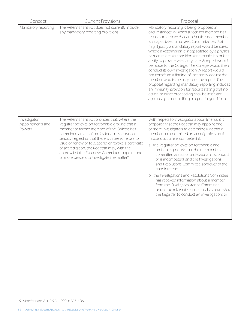| Concept                                    | <b>Current Provisions</b>                                                                                                                                                                                                                                                                                                                                                                                                                                                        | Proposal                                                                                                                                                                                                                                                                                                                                                                                                                                                                                                                                                                                                                                                                                                                                                                                                                                      |
|--------------------------------------------|----------------------------------------------------------------------------------------------------------------------------------------------------------------------------------------------------------------------------------------------------------------------------------------------------------------------------------------------------------------------------------------------------------------------------------------------------------------------------------|-----------------------------------------------------------------------------------------------------------------------------------------------------------------------------------------------------------------------------------------------------------------------------------------------------------------------------------------------------------------------------------------------------------------------------------------------------------------------------------------------------------------------------------------------------------------------------------------------------------------------------------------------------------------------------------------------------------------------------------------------------------------------------------------------------------------------------------------------|
| Mandatory reporting                        | The Veterinarians Act does not currently include<br>any mandatory reporting provisions                                                                                                                                                                                                                                                                                                                                                                                           | Mandatory reporting is being proposed in<br>circumstances in which a licensed member has<br>reasons to believe that another licensed member<br>is incapacitated or unwell. Circumstances that<br>might justify a mandatory report would be cases<br>where a veterinarian is incapacitated by a physical<br>or mental health condition that impairs his or her<br>ability to provide veterinary care. A report would<br>be made to the College. The College would then<br>conduct its own investigation. A report would<br>not constitute a finding of incapacity against the<br>member who is the subject of the report. The<br>proposal regarding mandatory reporting includes<br>an immunity provision for reports stating that no<br>action or other proceeding shall be instituted<br>against a person for filing a report in good faith. |
| Investigator<br>Appointments and<br>Powers | The Veterinarians Act provides that, where the<br>Registrar believes on reasonable ground that a<br>member or former member of the College has<br>committed an act of professional misconduct or<br>serious neglect or that there is cause to refuse to<br>issue or renew or to suspend or revoke a certificate<br>of accreditation, the Registrar may, with the<br>approval of the Executive Committee, appoint one<br>or more persons to investigate the matter <sup>9</sup> . | With respect to investigator appointments, it is<br>proposed that the Registrar may appoint one<br>or more investigators to determine whether a<br>member has committed an act of professional<br>misconduct or is incompetent if:<br>a. the Registrar believes on reasonable and<br>probable grounds that the member has<br>committed an act of professional misconduct<br>or is incompetent and the Investigations<br>and Resolutions Committee approves of the<br>appointment;<br>b. the Investigations and Resolutions Committee<br>has received information about a member<br>from the Quality Assurance Committee<br>under the relevant section and has requested<br>the Registrar to conduct an investigation; or                                                                                                                      |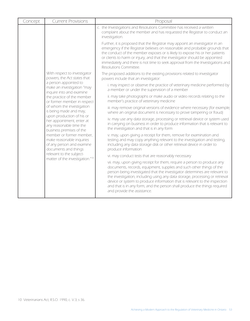| Concept | <b>Current Provisions</b>                                                                                     | Proposal                                                                                                                                                                                                                                                                                                                                                                                                                                                                                                |  |
|---------|---------------------------------------------------------------------------------------------------------------|---------------------------------------------------------------------------------------------------------------------------------------------------------------------------------------------------------------------------------------------------------------------------------------------------------------------------------------------------------------------------------------------------------------------------------------------------------------------------------------------------------|--|
|         |                                                                                                               | c. the Investigations and Resolutions Committee has received a written<br>complaint about the member and has requested the Registrar to conduct an<br>investigation.                                                                                                                                                                                                                                                                                                                                    |  |
|         |                                                                                                               | Further, it is proposed that the Registrar may appoint an investigator in an<br>emergency if the Registrar believes on reasonable and probable grounds that<br>the conduct of the member exposes or is likely to expose his or her patients<br>or clients to harm or injury, and that the investigator should be appointed<br>immediately and there is not time to seek approval from the Investigations and<br>Resolutions Committee.                                                                  |  |
|         | With respect to investigator<br>powers, the Act states that                                                   | The proposed additions to the existing provisions related to investigator<br>powers include that an investigator:                                                                                                                                                                                                                                                                                                                                                                                       |  |
|         | a person appointed to<br>make an investigation "may<br>inquire into and examine                               | i. may inspect or observe the practice of veterinary medicine performed by<br>a member or under the supervision of a member                                                                                                                                                                                                                                                                                                                                                                             |  |
|         | the practice of the member<br>or former member in respect                                                     | ii. may take photographs or make audio or video records relating to the<br>member's practice of veterinary medicine                                                                                                                                                                                                                                                                                                                                                                                     |  |
|         | of whom the investigation<br>is being made and may,                                                           | iii. may remove original versions of evidence where necessary (for example,<br>where an original document is necessary to prove tampering or fraud)                                                                                                                                                                                                                                                                                                                                                     |  |
|         | upon production of his or<br>her appointment, enter at<br>any reasonable time the<br>business premises of the | iv. may use any data storage, processing or retrieval device or system used<br>in carrying on business in order to produce information that is relevant to<br>the investigation and that is in any form                                                                                                                                                                                                                                                                                                 |  |
|         | member or former member,<br>make reasonable inquiries<br>of any person and examine<br>documents and things    | v. may, upon giving a receipt for them, remove for examination and<br>testing and may copy anything relevant to the investigation and testing,<br>including any data storage disk or other retrieval device in order to<br>produce information                                                                                                                                                                                                                                                          |  |
|         | relevant to the subject-<br>matter of the investigation." <sup>10</sup>                                       | vi. may conduct tests that are reasonably necessary                                                                                                                                                                                                                                                                                                                                                                                                                                                     |  |
|         |                                                                                                               | vii. may, upon giving receipt for them, require a person to produce any<br>documents, records, equipment, supplies and such other things of the<br>person being investigated that the investigator determines are relevant to<br>the investigation, including using any data storage, processing or retrieval<br>device or system to produce information that is relevant to the inspection<br>and that is in any form, and the person shall produce the things required<br>and provide the assistance. |  |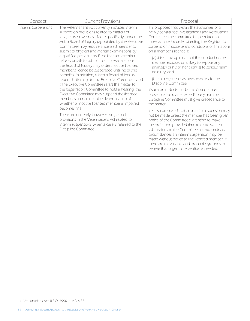| Concept             | <b>Current Provisions</b>                                                                                                                                                                                                                                                                                                                                                                                                                                                                                                                                                                                                                                                                                                                                                                                                                                                                                                                                                                                                                                                                                  | Proposal                                                                                                                                                                                                                                                                                                                                                                                                                                                                                                                                                                                                                                                                                                                                                                                                                                                                                                                                                                                                                                                                                                                                              |
|---------------------|------------------------------------------------------------------------------------------------------------------------------------------------------------------------------------------------------------------------------------------------------------------------------------------------------------------------------------------------------------------------------------------------------------------------------------------------------------------------------------------------------------------------------------------------------------------------------------------------------------------------------------------------------------------------------------------------------------------------------------------------------------------------------------------------------------------------------------------------------------------------------------------------------------------------------------------------------------------------------------------------------------------------------------------------------------------------------------------------------------|-------------------------------------------------------------------------------------------------------------------------------------------------------------------------------------------------------------------------------------------------------------------------------------------------------------------------------------------------------------------------------------------------------------------------------------------------------------------------------------------------------------------------------------------------------------------------------------------------------------------------------------------------------------------------------------------------------------------------------------------------------------------------------------------------------------------------------------------------------------------------------------------------------------------------------------------------------------------------------------------------------------------------------------------------------------------------------------------------------------------------------------------------------|
| Interim Suspensions | The Veterinarians Act currently includes interim<br>suspension provisions related to matters of<br>incapacity or wellness. More specifically, under the<br>Act, a Board of Inquiry (appointed by the Executive<br>Committee) may require a licensed member to<br>submit to physical and mental examinations by<br>a qualified person, and if the licensed member<br>refuses or fails to submit to such examinations,<br>the Board of Inquiry may order that the licensed<br>member's licence be suspended until he or she<br>complies. In addition, when a Board of Inquiry<br>reports its findings to the Executive Committee and<br>if the Executive Committee refers the matter to<br>the Registration Committee to hold a hearing, the<br>Executive Committee may suspend the licensed<br>member's licence until the determination of<br>whether or not the licensed member is impaired<br>becomes final <sup>11</sup> .<br>There are currently, however, no parallel<br>provisions in the Veterinarians Act related to<br>interim suspensions when a case is referred to the<br>Discipline Committee. | It is proposed that within the authorities of a<br>newly constituted Investigations and Resolutions<br>Committee, the committee be permitted to<br>make an interim order directing the Registrar to<br>suspend or impose terms, conditions or limitations<br>on a member's licence if:<br>(a) it is of the opinion that the conduct of the<br>member exposes or is likely to expose any<br>animal(s) or his or her client(s) to serious harm<br>or injury; and<br>(b) an allegation has been referred to the<br>Discipline Committee.<br>If such an order is made, the College must<br>prosecute the matter expeditiously and the<br>Discipline Committee must give precedence to<br>the matter.<br>It is also proposed that an interim suspension may<br>not be made unless the member has been given<br>notice of the Committee's intention to make<br>the order and provided time to make written<br>submissions to the Committee. In extraordinary<br>circumstances an interim suspension may be<br>made without notice to the licensed member, if<br>there are reasonable and probable grounds to<br>believe that urgent intervention is needed. |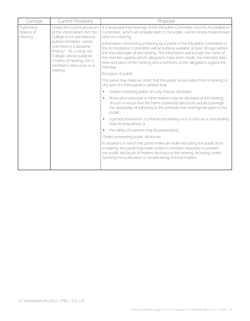| Concept                              | <b>Current Provisions</b>                                                                                                                                                                                                                                                                           | Proposal                                                                                                                                                                                                                                                                                                                                                                                                                                                                                                                                                                                              |
|--------------------------------------|-----------------------------------------------------------------------------------------------------------------------------------------------------------------------------------------------------------------------------------------------------------------------------------------------------|-------------------------------------------------------------------------------------------------------------------------------------------------------------------------------------------------------------------------------------------------------------------------------------------------------------------------------------------------------------------------------------------------------------------------------------------------------------------------------------------------------------------------------------------------------------------------------------------------------|
| Publicizing<br>Notices of<br>Hearing | Under the current provisions<br>of the Veterinarians Act, the<br>College is not permitted to<br>publish members' names<br>until there is a discipline<br>finding <sup>12</sup> . As a result, the<br>College cannot publicize<br>a notice of hearing, nor a<br>member's name prior to a<br>hearing. | It is proposed that hearings of the Discipline Committee and the Accreditation<br>Committee, which are already open to the public, will be clearly made known<br>prior to a hearing.<br>Information concerning a hearing by a panel of the Discipline Committee or<br>the Accreditation Committee will be publicly available at least 30 days before<br>the intended date of the hearing. The information will include the name of<br>the member against whom allegations have been made, the intended date,<br>time and place of the hearing and a summary of the allegations against the<br>member. |
|                                      |                                                                                                                                                                                                                                                                                                     | Exclusion of public                                                                                                                                                                                                                                                                                                                                                                                                                                                                                                                                                                                   |
|                                      | The panel may make an order that the public be excluded from a hearing or<br>any part of it if the panel is satisfied that:                                                                                                                                                                         |                                                                                                                                                                                                                                                                                                                                                                                                                                                                                                                                                                                                       |
|                                      |                                                                                                                                                                                                                                                                                                     | matters involving public security may be disclosed;                                                                                                                                                                                                                                                                                                                                                                                                                                                                                                                                                   |
|                                      |                                                                                                                                                                                                                                                                                                     | financial or personal or other matters may be disclosed at the hearing<br>$\bullet$<br>of such a nature that the harm created by disclosure would outweigh<br>the desirability of adhering to the principle that hearings be open to the<br>public;                                                                                                                                                                                                                                                                                                                                                   |
|                                      |                                                                                                                                                                                                                                                                                                     | a person involved in a criminal proceeding or in a civil suit or proceeding<br>may be prejudiced; or                                                                                                                                                                                                                                                                                                                                                                                                                                                                                                  |
|                                      |                                                                                                                                                                                                                                                                                                     | the safety of a person may be jeopardized.                                                                                                                                                                                                                                                                                                                                                                                                                                                                                                                                                            |
|                                      |                                                                                                                                                                                                                                                                                                     | Orders preventing public disclosure                                                                                                                                                                                                                                                                                                                                                                                                                                                                                                                                                                   |
|                                      |                                                                                                                                                                                                                                                                                                     | In situations in which the panel makes an order excluding the public from<br>a hearing, the panel may make orders it considers necessary to prevent<br>the public disclosure of matters disclosed at the hearing, including orders<br>banning the publication or broadcasting of those matters.                                                                                                                                                                                                                                                                                                       |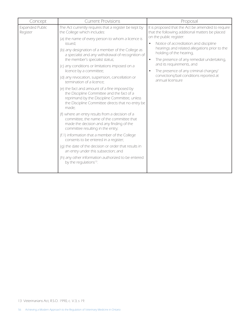| Concept                            | <b>Current Provisions</b>                                                                                                                                                                                                                                                                                                                                                                                                                                                                                                                                                                                                                                                                                                                                                                                                                                                                                                                                                                                                                               | Proposal                                                                                                                                                                                                                                                                                                                                                                                                                                                                       |  |
|------------------------------------|---------------------------------------------------------------------------------------------------------------------------------------------------------------------------------------------------------------------------------------------------------------------------------------------------------------------------------------------------------------------------------------------------------------------------------------------------------------------------------------------------------------------------------------------------------------------------------------------------------------------------------------------------------------------------------------------------------------------------------------------------------------------------------------------------------------------------------------------------------------------------------------------------------------------------------------------------------------------------------------------------------------------------------------------------------|--------------------------------------------------------------------------------------------------------------------------------------------------------------------------------------------------------------------------------------------------------------------------------------------------------------------------------------------------------------------------------------------------------------------------------------------------------------------------------|--|
| <b>Expanded Public</b><br>Register | The Act currently requires that a register be kept by<br>the College which includes:<br>(a) the name of every person to whom a licence is<br>issued:<br>(b) any designation of a member of the College as<br>a specialist and any withdrawal of recognition of<br>the member's specialist status;<br>(c) any conditions or limitations imposed on a<br>licence by a committee;<br>(d) any revocation, suspension, cancellation or<br>termination of a licence;<br>(e) the fact and amount of a fine imposed by<br>the Discipline Committee and the fact of a<br>reprimand by the Discipline Committee, unless<br>the Discipline Committee directs that no entry be<br>made:<br>(f) where an entry results from a decision of a<br>committee, the name of the committee that<br>made the decision and any finding of the<br>committee resulting in the entry;<br>(f.1) information that a member of the College<br>consents to be entered in a register;<br>(q) the date of the decision or order that results in<br>an entry under this subsection; and | It is proposed that the Act be amended to require<br>that the following additional matters be placed<br>on the public register:<br>Notice of accreditation and discipline<br>$\bullet$<br>hearings and related allegations prior to the<br>holding of the hearing,<br>The presence of any remedial undertaking,<br>$\bullet$<br>and its requirements, and<br>The presence of any criminal charges/<br>$\bullet$<br>convictions/bail conditions reported at<br>annual licensure |  |
|                                    | (h) any other information authorized to be entered<br>by the regulations <sup>13</sup> .                                                                                                                                                                                                                                                                                                                                                                                                                                                                                                                                                                                                                                                                                                                                                                                                                                                                                                                                                                |                                                                                                                                                                                                                                                                                                                                                                                                                                                                                |  |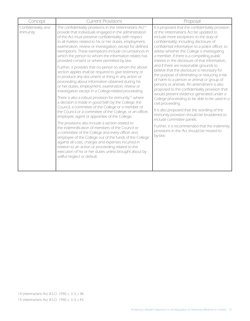| Concept                         | <b>Current Provisions</b>                                                                                                                                                                                                                                                                                                                                                                                                                                                                                                                                                                                                                                                                                                                                                                                                                                                                                                                                                                                                                                                                                                                                                                                                                                                                                                                                                                                                                                                                                                                               | Proposal                                                                                                                                                                                                                                                                                                                                                                                                                                                                                                                                                                                                                                                                                                                                                                                                                                                                                                                                                                                                                      |
|---------------------------------|---------------------------------------------------------------------------------------------------------------------------------------------------------------------------------------------------------------------------------------------------------------------------------------------------------------------------------------------------------------------------------------------------------------------------------------------------------------------------------------------------------------------------------------------------------------------------------------------------------------------------------------------------------------------------------------------------------------------------------------------------------------------------------------------------------------------------------------------------------------------------------------------------------------------------------------------------------------------------------------------------------------------------------------------------------------------------------------------------------------------------------------------------------------------------------------------------------------------------------------------------------------------------------------------------------------------------------------------------------------------------------------------------------------------------------------------------------------------------------------------------------------------------------------------------------|-------------------------------------------------------------------------------------------------------------------------------------------------------------------------------------------------------------------------------------------------------------------------------------------------------------------------------------------------------------------------------------------------------------------------------------------------------------------------------------------------------------------------------------------------------------------------------------------------------------------------------------------------------------------------------------------------------------------------------------------------------------------------------------------------------------------------------------------------------------------------------------------------------------------------------------------------------------------------------------------------------------------------------|
| Confidentiality and<br>Immunity | The confidentiality provisions in the Veterinarians Act <sup>14</sup><br>provide that individuals engaged in the administration<br>of the Act must preserve confidentiality with respect<br>to all matters related to his or her duties, employment,<br>examination, review or investigation, except for defined<br>exemptions. These exemptions include circumstances in<br>which the person to whom the information relates has<br>provided consent or where permitted by law.<br>Further, it provides that no person to whom the above<br>section applies shall be required to give testimony or<br>to produce any document or thing in any action or<br>proceeding about information obtained during his<br>or her duties, employment, examination, review or<br>investigation except in a College-related proceeding.<br>There is also a robust provision for immunity <sup>15</sup> where<br>a decision is made in good faith by the College, the<br>Council, a committee of the College or a member of<br>the Council or a committee of the College, or an officer,<br>employee, agent or appointee of the College.<br>The provisions also include a section related to<br>the indemnification of members of the Council or<br>a committee of the College and every officer and<br>employee of the College out of the funds of the College<br>against all costs, charges and expenses incurred in<br>relation to an action or proceeding related to the<br>execution of his or her duties unless brought about by<br>willful neglect or default. | It is proposed that the confidentiality provision<br>of the Veterinarians Act be updated to<br>include more exceptions to the duty of<br>confidentiality, including disclosure of<br>confidential information to a police officer, to<br>advise whether the College is investigating<br>a member, if there is a compelling public<br>interest in the disclosure of that information,<br>and if there are reasonable grounds to<br>believe that the disclosure is necessary for<br>the purpose of eliminating or reducing a risk<br>of harm to a person or animal or group of<br>persons or animals. An amendment is also<br>proposed to the confidentiality provision that<br>would prevent evidence generated under a<br>College proceeding to be able to be used in a<br>civil proceeding.<br>It is also proposed that the wording of the<br>immunity provision should be broadened to<br>include committee panels.<br>Further, it is recommended that the indemnity<br>provisions in the Act should be moved to<br>by-law. |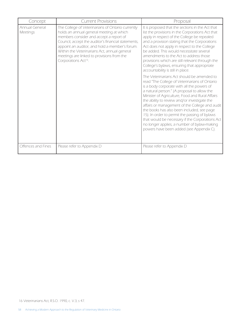| Concept                    | <b>Current Provisions</b>                                                                                                                                                                                                                                                                                                                                                           | Proposal                                                                                                                                                                                                                                                                                                                                                                                                                                                                                                                                                                                   |
|----------------------------|-------------------------------------------------------------------------------------------------------------------------------------------------------------------------------------------------------------------------------------------------------------------------------------------------------------------------------------------------------------------------------------|--------------------------------------------------------------------------------------------------------------------------------------------------------------------------------------------------------------------------------------------------------------------------------------------------------------------------------------------------------------------------------------------------------------------------------------------------------------------------------------------------------------------------------------------------------------------------------------------|
| Annual General<br>Meetings | The College of Veterinarians of Ontario currently<br>holds an annual general meeting at which<br>members consider and accept a report of<br>Council, accept the auditor's financial statements,<br>appoint an auditor, and hold a member's forum.<br>Within the Veterinarians Act, annual general<br>meetings are linked to provisions from the<br>Corporations Act <sup>16</sup> . | It is proposed that the sections in the Act that<br>list the provisions in the Corporations Act that<br>apply in respect of the College be repealed<br>and a provision stating that the Corporations<br>Act does not apply in respect to the College<br>be added. This would necessitate several<br>amendments to the Act to address those<br>provisions which are still relevant through the<br>College's bylaws, ensuring that appropriate<br>accountability is still in place.                                                                                                          |
|                            |                                                                                                                                                                                                                                                                                                                                                                                     | The Veterinarians Act should be amended to<br>read "The College of Veterinarians of Ontario<br>is a body corporate with all the powers of<br>a natural person." (A proposal to allow the<br>Minister of Agriculture, Food and Rural Affairs<br>the ability to review and/or investigate the<br>affairs or management of the College and audit<br>the books has also been included, see page<br>15). In order to permit the passing of bylaws<br>that would be necessary if the Corporations Act<br>no longer applies, a number of bylaw-making<br>powers have been added (see Appendix C). |
| Offences and Fines         | Please refer to Appendix D                                                                                                                                                                                                                                                                                                                                                          | Please refer to Appendix D                                                                                                                                                                                                                                                                                                                                                                                                                                                                                                                                                                 |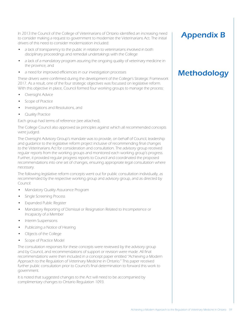In 2013 the Council of the College of Veterinarians of Ontario identified an increasing need to consider making a request to government to modernize the Veterinarians Act. The initial drivers of this need to consider modernization included:

- a lack of transparency to the public in relation to veterinarians involved in both disciplinary proceedings and remedial undertakings with the College
- a lack of a mandatory program assuring the ongoing quality of veterinary medicine in the province, and
- a need for improved efficiencies in our investigation processes

These drivers were confirmed during the development of the College's Strategic Framework 2017. As a result, one of the four strategic objectives was focussed on legislative reform. With this objective in place, Council formed four working groups to manage the process:

- Oversight Advice
- Scope of Practice
- Investigations and Resolutions, and
- **Quality Practice**

Each group had terms of reference (see attached).

The College Council also approved six principles against which all recommended concepts were judged.

The Oversight Advisory Group's mandate was to provide, on behalf of Council, leadership and guidance to the legislative reform project inclusive of recommending final changes to the Veterinarians Act for consideration and consultation. The advisory group received regular reports from the working groups and monitored each working group's progress. Further, it provided regular progress reports to Council and coordinated the proposed recommendations into one set of changes, ensuring appropriate legal consultation where necessary.

The following legislative reform concepts went out for public consultation individually, as recommended by the respective working group and advisory group, and as directed by Council:

- Mandatory Quality Assurance Program
- Single Screening Process
- • Expanded Public Register
- Mandatory Reporting of Dismissal or Resignation Related to Incompetence or Incapacity of a Member
- Interim Suspensions
- Publicizing a Notice of Hearing
- • Objects of the College
- Scope of Practice Model

The consultation responses for these concepts were reviewed by the advisory group and by Council, and recommendations of support or revision were made. All final recommendations were then included in a concept paper entitled "Achieving a Modern Approach to the Regulation of Veterinary Medicine in Ontario." This paper received further public consultation prior to Council's final determination to forward this work to government.

It is noted that suggested changes to the Act will need to be accompanied by complimentary changes to Ontario Regulation 1093.

### Appendix B

### **Methodology**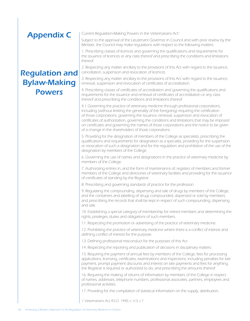# Appendix C

### Regulation and Bylaw-Making Powers

Current Regulation-Making Powers in the Veterinarians Act<sup>1</sup>: :

Subject to the approval of the Lieutenant Governor in Council and with prior review by the Minister, the Council may make regulations with respect to the following matters:

1. Prescribing classes of licences and governing the qualifications and requirements for the issuance of licences or any class thereof and prescribing the conditions and limitations thereof.

2. Respecting any matter ancillary to the provisions of this Act with regard to the issuance, cancellation, suspension and revocation of licences.

3. Respecting any matter ancillary to the provisions of this Act with regard to the issuance, renewal, suspension and revocation of certificates of accreditation.

4. Prescribing classes of certificates of accreditation and governing the qualifications and requirements for the issuance and renewal of certificates of accreditation or any class thereof and prescribing the conditions and limitations thereof.

4.1 Governing the practice of veterinary medicine through professional corporations, including (without limiting the generality of the foregoing) requiring the certification of those corporations, governing the issuance, renewal, suspension and revocation of certificates of authorization, governing the conditions and limitations that may be imposed on certificates and governing the names of those corporations and the notice to be given of a change in the shareholders of those corporations.

5. Providing for the designation of members of the College as specialists, prescribing the qualifications and requirements for designation as a specialist, providing for the suspension or revocation of such a designation and for the regulation and prohibition of the use of the designation by members of the College.

6. Governing the use of names and designations in the practice of veterinary medicine by members of the College.

7. Authorizing entries in, and the form of maintenance of, registers of members and former members of the College and directories of veterinary facilities and providing for the issuance of certificates of standing by the Registrar.

8. Prescribing and governing standards of practice for the profession.

9. Regulating the compounding, dispensing and sale of drugs by members of the College, and the containers and labelling of drugs compounded, dispensed or sold by members, and prescribing the records that shall be kept in respect of such compounding, dispensing and sale.

10. Establishing a special category of membership for retired members and determining the rights, privileges, duties and obligations of such members.

11. Respecting the promotion or advertising of the practice of veterinary medicine.

12. Prohibiting the practice of veterinary medicine where there is a conflict of interest and defining conflict of interest for the purpose.

13. Defining professional misconduct for the purposes of this Act.

14. Respecting the reporting and publication of decisions in disciplinary matters.

15. Requiring the payment of annual fees by members of the College, fees for processing applications, licensing, certificates, examinations and inspections, including penalties for late payment, prompt payment discounts and interest on late payments and fees for anything the Registrar is required or authorized to do, and prescribing the amounts thereof.

16. Requiring the making of returns of information by members of the College in respect of names, addresses, telephone numbers, professional associates, partners, employees and professional activities.

17. Providing for the compilation of statistical information on the supply, distribution,

1 Veterinarians Act, R.S.O. 1990, c. V.3, s 7.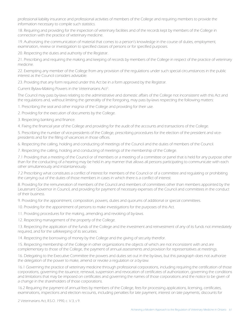professional liability insurance and professional activities of members of the College and requiring members to provide the information necessary to compile such statistics.

18. Requiring and providing for the inspection of veterinary facilities and of the records kept by members of the College in connection with the practice of veterinary medicine.

19. Authorizing the communication of material that comes to a person's knowledge in the course of duties, employment, examination, review or investigation to specified classes of persons or for specified purposes.

20. Respecting the duties and authority of the Registrar.

21. Prescribing and requiring the making and keeping of records by members of the College in respect of the practice of veterinary medicine.

22. Exempting any member of the College from any provision of the regulations under such special circumstances in the public interest as the Council considers advisable.

23. Providing that any form required under this Act be in a form approved by the Registrar.

Current Bylaw-Making Powers in the Veterinarians Act<sup>2</sup>: :

The Council may pass by-laws relating to the administrative and domestic affairs of the College not inconsistent with this Act and the regulations and, without limiting the generality of the foregoing, may pass by-laws respecting the following matters:

1. Prescribing the seal and other insignia of the College and providing for their use.

2. Providing for the execution of documents by the College.

3. Respecting banking and finance.

4. Fixing the financial year of the College and providing for the audit of the accounts and transactions of the College.

5. Prescribing the number of vice-presidents of the College, prescribing procedures for the election of the president and vicepresidents and for the filling of vacancies in those offices.

6. Respecting the calling, holding and conducting of meetings of the Council and the duties of members of the Council.

7. Respecting the calling, holding and conducting of meetings of the membership of the College.

7.1 Providing that a meeting of the Council or of members or a meeting of a committee or panel that is held for any purpose other than for the conducting of a hearing may be held in any manner that allows all persons participating to communicate with each other simultaneously and instantaneously.

7.2 Prescribing what constitutes a conflict of interest for members of the Council or of a committee and regulating or prohibiting the carrying out of the duties of those members in cases in which there is a conflict of interest.

8. Providing for the remuneration of members of the Council and members of committees other than members appointed by the Lieutenant Governor in Council, and providing for payment of necessary expenses of the Council and committees in the conduct of their business.

9. Providing for the appointment, composition, powers, duties and quorums of additional or special committees.

10. Providing for the appointment of persons to make investigations for the purposes of this Act.

11. Providing procedures for the making, amending and revoking of by-laws.

12. Respecting management of the property of the College.

13. Respecting the application of the funds of the College and the investment and reinvestment of any of its funds not immediately required, and for the safekeeping of its securities.

14. Respecting the borrowing of money by the College and the giving of security therefor.

15. Respecting membership of the College in other organizations the objects of which are not inconsistent with and are complementary to those of the College, the payment of annual assessments and provision for representatives at meetings.

16. Delegating to the Executive Committee the powers and duties set out in the by-laws, but this paragraph does not authorize the delegation of the power to make, amend or revoke a regulation or a by-law.

16.1 Governing the practice of veterinary medicine through professional corporations, including requiring the certification of those corporations, governing the issuance, renewal, suspension and revocation of certificates of authorization, governing the conditions and limitations that may be imposed on certificates and governing the names of those corporations and the notice to be given of a change in the shareholders of those corporations.

16.2 Requiring the payment of annual fees by members of the College, fees for processing applications, licensing, certificates, examinations, inspections and election recounts, including penalties for late payment, interest on late payments, discounts for

2 Veterinarians Act, R.S.O. 1990, c. V.3, s 9.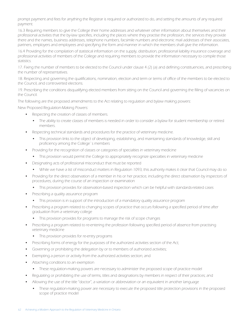prompt payment and fees for anything the Registrar is required or authorized to do, and setting the amounts of any required payment.

16.3 Requiring members to give the College their home addresses and whatever other information about themselves and their professional activities that the by-law specifies, including the places where they practise the profession, the services they provide there and the names, business addresses, telephone numbers, facsimile numbers and electronic mail addresses of their associates, partners, employers and employees and specifying the form and manner in which the members shall give the information.

16.4 Providing for the compilation of statistical information on the supply, distribution, professional liability insurance coverage and professional activities of members of the College and requiring members to provide the information necessary to compile those statistics.

17. Fixing the number of members to be elected to the Council under clause 4 (2) (a) and defining constituencies, and prescribing the number of representatives.

18. Respecting and governing the qualifications, nomination, election and term or terms of office of the members to be elected to the Council, and controverted elections.

19. Prescribing the conditions disqualifying elected members from sitting on the Council and governing the filling of vacancies on the Council.

The following are the proposed amendments to the Act relating to regulation and bylaw making powers:

New Proposed Regulation-Making Powers:

- Respecting the creation of classes of members.
	- The ability to create classes of members is needed in order to consider a bylaw for student membership or retired members.
- Respecting technical standards and procedures for the practice of veterinary medicine.
	- This provision links to the object of developing, establishing, and maintaining standards of knowledge, skill and proficiency among the College`s members
- Providing for the recognition of classes or categories of specialties in veterinary medicine
	- This provision would permit the College to appropriately recognize specialties in veterinary medicine
- Designating acts of professional misconduct that must be reported
	- While we have a list of misconduct matters in Regulation 1093, this authority makes it clear that Council may do so
- • Providing for the direct observation of a member in his or her practice, including the direct observation by inspectors of procedures, during the course of an inspection or examination
	- • This provision provides for observation-based inspection which can be helpful with standards-related cases
- Prescribing a quality assurance program
	- This provision is in support of the introduction of a mandatory quality assurance program
- Prescribing a program related to changing scopes of practice that occurs following a specified period of time after graduation from a veterinary college
	- This provision provides for programs to manage the risk of scope changes
- Prescribing a program related to re-entering the profession following specified period of absence from practising veterinary medicine
	- This provision provides for re-entry programs
- Prescribing forms of energy for the purposes of the authorized activities section of the Act;
- • Governing or prohibiting the delegation by or to members of authorized activities;
- Exempting a person or activity from the authorized activities section; and
- Attaching conditions to an exemption
	- These requlation-making powers are necessary to administer the proposed scope of practice model
- Regulating or prohibiting the use of terms, titles and designations by members in respect of their practices; and
- Allowing the use of the title "doctor", a variation or abbreviation or an equivalent in another language
	- These regulation-making power are necessary to execute the proposed title protection provisions in the proposed scope of practice model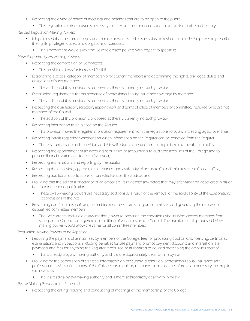- Respecting the giving of notice of meetings and hearings that are to be open to the public
	- This regulation-making power is necessary to carry out the concept related to publicizing notices of hearings

Revised Regulation-Making Powers

- It is proposed that the current regulation-making power related to specialists be revised to include the power to prescribe the rights, privileges, duties, and obligations of specialists
	- This amendment would allow the College greater powers with respect to specialists

New Proposed Bylaw-Making Powers:

- Respecting the composition of Committees
	- This provision allows for increased flexibility
- Establishing a special category of membership for student members and determining the rights, privileges, duties and obligations of such members
	- The addition of this provision is proposed as there is currently no such provision
- Establishing requirements for maintenance of professional liability insurance coverage by members
	- The addition of this provision is proposed as there is currently no such provision
- Respecting the qualification, selection, appointment and terms of office of members of committees required who are not members of the Council
	- The addition of this provision is proposed as there is currently no such provision
- Respecting information to be placed on the Register
	- This provision moves the register information requirement from the regulations to bylaw increasing agility over time
- Respecting details regarding whether and when information on the Register can be removed from the Register
	- There is currently no such provision and this will address questions on this topic in rule rather than in policy
- Respecting the appointment of an accountant or a firm of accountants to audit the accounts of the College and to prepare financial statements for each fiscal year;
- Respecting examinations and reporting by the auditor;
- Respecting the recording, approval, maintenance, and availability of accurate Council minutes at the College office;
- Respecting additional qualifications for or restrictions on the auditor; and
- Providing that the acts of a director or of an officer are valid despite any defect that may afterwards be discovered in his or her appointment or qualification.
	- These bylaw-making powers are necessary additions as a result of the removal of the applicability of the Corporations Act provisions in the Act
- Prescribing conditions disqualifying committee members from sitting on committees and governing the removal of disqualified committee members
	- The Act currently include a bylaw-making power to prescribe the conditions disqualifying elected members from sitting on the Council and governing the filling of vacancies on the Council. The addition of this proposed bylawmaking power would allow the same for all committee members

Regulation Making Powers to be Repealed:

- Requiring the payment of annual fees by members of the College, fees for processing applications, licensing, certificates, examinations and inspections, including penalties for late payment, prompt payment discounts and interest on late payments and fees for anything the Registrar is required or authorized to do, and prescribing the amounts thereof.
	- This is already a bylaw-making authority and is more appropriately dealt with in bylaw
- Providing for the compilation of statistical information on the supply, distribution, professional liability insurance and professional activities of members of the College and requiring members to provide the information necessary to compile such statistics.
	- This is already a bylaw-making authority and is more appropriately dealt with in bylaw

Bylaw Making Powers to be Repealed:

Respecting the calling, holding and conducting of meetings of the membership of the College.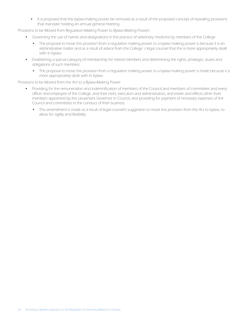• It is proposed that this bylaw-making power be removed as a result of the proposed concept of repealing provisions that mandate holding an annual general meeting.

Provisions to be Moved from Regulation-Making Power to Bylaw-Making Powers

- • Governing the use of names and designations in the practice of veterinary medicine by members of the College
	- The proposal to move this provision from a regulation making power to a bylaw making power is because it is an administrative matter and as a result of advice from the College`s legal counsel that this is more appropriately dealt with in bylaw
- • Establishing a special category of membership for retired members and determining the rights, privileges, duties and obligations of such members
	- The proposal to move this provision from a regulation making power to a bylaw making power is made because it is more appropriately dealt with in bylaw

Provisions to be Moved from the Act to a Bylaw-Making Power

- Providing for the remuneration and indemnification of members of the Council and members of committees and every officer and employee of the College, and their heirs, executors and administrators, and estate and effects other than members appointed by the Lieutenant Governor in Council, and providing for payment of necessary expenses of the Council and committees in the conduct of their business.
	- This amendment is made as a result of legal counsel's suggestion to move this provision from the Act to bylaw, to allow for agility and flexibility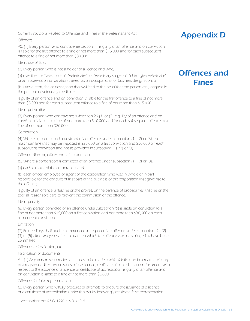Current Provisions Related to Offences and Fines in the Veterinarians Act<sup>1</sup>: :

#### **Offences**

40. (1) Every person who contravenes section 11 is guilty of an offence and on conviction is liable for the first offence to a fine of not more than \$15,000 and for each subsequent offence to a fine of not more than \$30,000.

#### Idem, use of titles

(2) Every person who is not a holder of a licence and who,

(a) uses the title "veterinarian", "vétérinaire", or "veterinary surgeon", "chirurgien vétérinaire" or an abbreviation or variation thereof as an occupational or business designation; or

(b) uses a term, title or description that will lead to the belief that the person may engage in the practice of veterinary medicine,

is guilty of an offence and on conviction is liable for the first offence to a fine of not more than \$5,000 and for each subsequent offence to a fine of not more than \$15,000.

#### Idem, publication

(3) Every person who contravenes subsection 29 (1) or (3) is guilty of an offence and on conviction is liable to a fine of not more than \$10,000 and for each subsequent offence to a fine of not more than \$20,000.

#### Corporation

(4) Where a corporation is convicted of an offence under subsection (1), (2) or (3), the maximum fine that may be imposed is \$25,000 on a first conviction and \$50,000 on each subsequent conviction and not as provided in subsection (1), (2) or (3).

Offence, director, officer, etc., of corporation

(5) Where a corporation is convicted of an offence under subsection (1), (2) or (3),

(a) each director of the corporation; and

(b) each officer, employee or agent of the corporation who was in whole or in part responsible for the conduct of that part of the business of the corporation that gave rise to the offence,

is guilty of an offence unless he or she proves, on the balance of probabilities, that he or she took all reasonable care to prevent the commission of the offence.

#### Idem, penalty

(6) Every person convicted of an offence under subsection (5) is liable on conviction to a fine of not more than \$15,000 on a first conviction and not more than \$30,000 on each subsequent conviction.

#### Limitation

(7) Proceedings shall not be commenced in respect of an offence under subsection (1), (2), (3) or (5) after two years after the date on which the offence was, or is alleged to have been, committed.

#### Offences re falsification, etc.

Falsification of documents

41. (1) Any person who makes or causes to be made a wilful falsification in a matter relating to a register or directory or issues a false licence, certificate of accreditation or document with respect to the issuance of a licence or certificate of accreditation is guilty of an offence and on conviction is liable to a fine of not more than \$5,000.

#### Offences for false representation

(2) Every person who wilfully procures or attempts to procure the issuance of a licence or a certificate of accreditation under this Act by knowingly making a false representation

1 Veterinarians Act, R.S.O. 1990, c. V.3, s 40, 41

### Appendix D

### Offences and **Fines**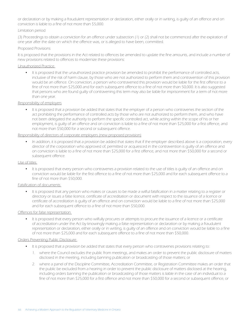or declaration or by making a fraudulent representation or declaration, either orally or in writing, is guilty of an offence and on conviction is liable to a fine of not more than \$5,000.

#### Limitation period

(3) Proceedings to obtain a conviction for an offence under subsection (1) or (2) shall not be commenced after the expiration of one year after the date on which the offence was, or is alleged to have been, committed.

#### Proposed Provisions

It is proposed that the provisions in the Act related to offences be amended to update the fine amounts, and include a number of new provisions related to offences to modernize these provisions:

#### Unauthorized Practice

• It is proposed that the unauthorized practice provision be amended to prohibit the performance of controlled acts, inclusive of the risk of harm clause, by those who are not authorized to perform them and contravention of this provision would be an offence. On conviction, a person who contravened this provision would be liable for the first offence to a fine of not more than \$25,000 and for each subsequent offence to a fine of not more than 50,000. It is also suggested that persons who are found guilty of contravening this term may also be liable for imprisonment for a term of not more than one year.

#### Responsibility of employers

• It is proposed that a provision be added that states that the employer of a person who contravenes the section of the act prohibiting the performance of controlled acts by those who are not authorized to perform them, and who have not been delegated the authority to perform the specific controlled act, while acting within the scope of his or her employment, is guilty of an offence and on conviction is liable to a fine of not more than \$25,000 for a first offence, and not more than \$50,000 for a second or subsequent offence.

#### Responsibility of directors of corporate employers (new proposed provision)

In addition, it is proposed that a provision be added that states that if the employer described above is a corporation, every director of the corporation who approved of, permitted or acquiesced in the contravention is guilty of an offence and on conviction is liable to a fine of not more than \$25,000 for a first offence, and not more than \$50,000 for a second or subsequent offence.

#### Use of titles

• It is proposed that every person who contravenes a provision related to the use of titles is quilty of an offence and on conviction would be liable for the first offence to a fine of not more than \$25,000 and for each subsequent offence to a fine of not more than \$50,000.

#### Falsification of documents

It is proposed that any person who makes or causes to be made a wilful falsification in a matter relating to a register or directory or issues a false licence, certificate of accreditation or document with respect to the issuance of a licence or certificate of accreditation is guilty of an offence and on conviction would be liable to a fine of not more than \$25,000 and for each subsequent offence to a fine of not more than \$50,000.

#### Offences for false representation

It is proposed that every person who wilfully procures or attempts to procure the issuance of a licence or a certificate of accreditation under the Act by knowingly making a false representation or declaration or by making a fraudulent representation or declaration, either orally or in writing, is guilty of an offence and on conviction would be liable to a fine of not more than \$25,000 and for each subsequent offence to a fine of not more than \$50,000.

#### Orders Preventing Public Disclosure

- It is proposed that a provision be added that states that every person who contravenes provisions relating to:
	- 1. where the Council excludes the public from meetings, and makes an order to prevent the public disclosure of matters disclosed in the meeting, including banning publication or broadcasting of those matters; or
	- 2. where a panel of the Discipline Committee, Accreditation Committee, or Registration Committee makes an order that the public be excluded from a hearing in order to prevent the public disclosure of matters disclosed at the hearing, including orders banning the publication or broadcasting of those matters is liable in the case of an individual to a fine of not more than \$25,000 for a first offence and not more than \$50,000 for a second or subsequent offence, or